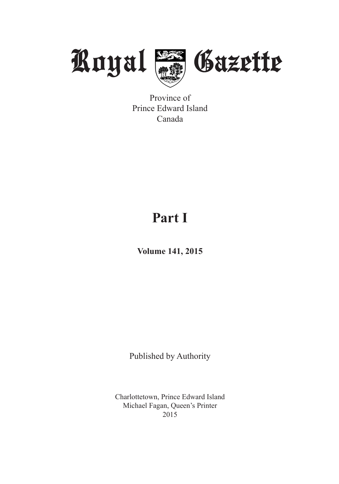

Province of Prince Edward Island Canada

# **Part I**

**Volume 141, 2015**

Published by Authority

Charlottetown, Prince Edward Island Michael Fagan, Queen's Printer 2015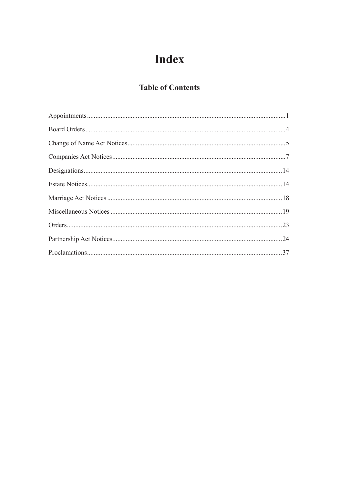# **Index**

### **Table of Contents**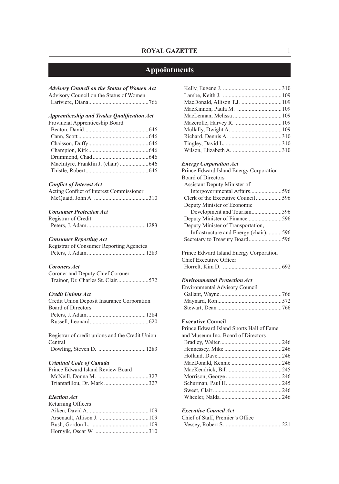### **Appointments**

| <b>Advisory Council on the Status of Women Act</b><br>Advisory Council on the Status of Women |  |
|-----------------------------------------------------------------------------------------------|--|
| <b>Apprenticeship and Trades Qualification Act</b>                                            |  |
| Provincial Apprenticeship Board                                                               |  |
|                                                                                               |  |
|                                                                                               |  |
|                                                                                               |  |
|                                                                                               |  |
|                                                                                               |  |
| MacIntyre, Franklin J. (chair) 646                                                            |  |
|                                                                                               |  |
| <b>Conflict of Interest Act</b><br>Acting Conflict of Interest Commissioner                   |  |
| <b>Consumer Protection Act</b>                                                                |  |
| Registrar of Credit                                                                           |  |
|                                                                                               |  |
|                                                                                               |  |
| <b>Consumer Reporting Act</b><br>Registrar of Consumer Reporting Agencies                     |  |
|                                                                                               |  |
| <b>Coroners Act</b>                                                                           |  |
| Coroner and Deputy Chief Coroner<br>Trainor, Dr. Charles St. Clair572                         |  |
| <b>Credit Unions Act</b>                                                                      |  |
| Credit Union Deposit Insurance Corporation                                                    |  |
| <b>Board of Directors</b>                                                                     |  |
|                                                                                               |  |
| Registrar of credit unions and the Credit Union                                               |  |
| Central                                                                                       |  |
|                                                                                               |  |
| <b>Criminal Code of Canada</b>                                                                |  |
| Prince Edward Island Review Board                                                             |  |
|                                                                                               |  |
| Triantafillou, Dr. Mark 327                                                                   |  |
| <b>Election Act</b>                                                                           |  |
| Returning Officers                                                                            |  |
|                                                                                               |  |
|                                                                                               |  |
|                                                                                               |  |
|                                                                                               |  |

Hornyik, Oscar W. .....................................310

#### *Energy Corporation Act*

| Prince Edward Island Energy Corporation |  |
|-----------------------------------------|--|
| <b>Board of Directors</b>               |  |
| Assistant Deputy Minister of            |  |
|                                         |  |
|                                         |  |
| Deputy Minister of Economic             |  |
|                                         |  |
|                                         |  |
| Deputy Minister of Transportation,      |  |
| Infrastructure and Energy (chair)596    |  |
|                                         |  |
|                                         |  |

Prince Edward Island Energy Corporation Chief Executive Officer Horrelt, Kim D. .........................................692

### *Environmental Protection Act*

| <b>Environmental Advisory Council</b> |  |
|---------------------------------------|--|
|                                       |  |
|                                       |  |
|                                       |  |

#### **Executive Council**

| Prince Edward Island Sports Hall of Fame |  |
|------------------------------------------|--|
| and Museum Inc. Board of Directors       |  |
|                                          |  |
|                                          |  |
|                                          |  |
|                                          |  |
|                                          |  |
|                                          |  |
|                                          |  |
|                                          |  |
|                                          |  |
|                                          |  |

#### *Executive Council Act*

| Chief of Staff, Premier's Office |  |
|----------------------------------|--|
|                                  |  |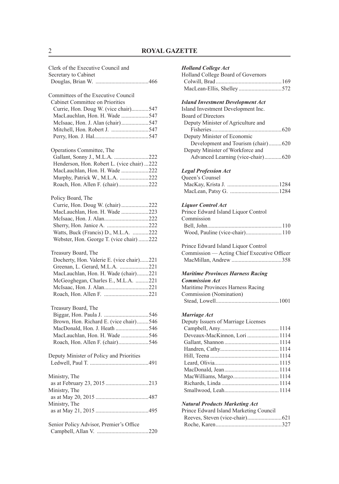### 2 **ROYAL GAZETTE**

| Clerk of the Executive Council and<br>Secretary to Cabinet                                                                                                                        |
|-----------------------------------------------------------------------------------------------------------------------------------------------------------------------------------|
| Committees of the Executive Council<br>Cabinet Committee on Priorities                                                                                                            |
| Currie, Hon. Doug W. (vice chair)547                                                                                                                                              |
| MacLauchlan, Hon. H. Wade 547                                                                                                                                                     |
| McIsaac, Hon. J. Alan (chair)547                                                                                                                                                  |
| Mitchell, Hon. Robert J. 547                                                                                                                                                      |
|                                                                                                                                                                                   |
| Operations Committee, The                                                                                                                                                         |
| Gallant, Sonny J., M.L.A. 222                                                                                                                                                     |
| Henderson, Hon. Robert L. (vice chair) 222                                                                                                                                        |
| MacLauchlan, Hon. H. Wade 222                                                                                                                                                     |
| Murphy, Patrick W., M.L.A. 222                                                                                                                                                    |
| Roach, Hon. Allen F. (chair)222                                                                                                                                                   |
| Policy Board, The                                                                                                                                                                 |
| Currie, Hon. Doug W. (chair) 222                                                                                                                                                  |
| MacLauchlan, Hon. H. Wade 223                                                                                                                                                     |
| McIsaac, Hon. J. Alan222                                                                                                                                                          |
|                                                                                                                                                                                   |
| Watts, Buck (Francis) D., M.L.A. 222<br>Webster, Hon. George T. (vice chair) 222                                                                                                  |
| Treasury Board, The<br>Docherty, Hon. Valerie E. (vice chair)221<br>Greenan, L. Gerard, M.L.A. 221<br>MacLauchlan, Hon. H. Wade (chair)221<br>McGeoghegan, Charles E., M.L.A. 221 |
| Treasury Board, The                                                                                                                                                               |
|                                                                                                                                                                                   |
| Brown, Hon. Richard E. (vice chair)546                                                                                                                                            |
| MacDonald, Hon. J. Heath 546                                                                                                                                                      |
| MacLauchlan, Hon. H. Wade 546                                                                                                                                                     |
| Roach, Hon. Allen F. (chair)546                                                                                                                                                   |
| Deputy Minister of Policy and Priorities                                                                                                                                          |
| Ministry, The<br>as at February 23, 2015 213                                                                                                                                      |
| Ministry, The                                                                                                                                                                     |
| Ministry, The                                                                                                                                                                     |
| Senior Policy Advisor, Premier's Office                                                                                                                                           |

| Holland College Act |
|---------------------|
|---------------------|

| Holland College Board of Governors |  |
|------------------------------------|--|
|                                    |  |
|                                    |  |

#### *Island Investment Development Act*

| Island Investment Development Inc. |
|------------------------------------|
| <b>Board of Directors</b>          |
| Deputy Minister of Agriculture and |
|                                    |
| Deputy Minister of Economic        |
| Development and Tourism (chair)620 |
| Deputy Minister of Workforce and   |
| Advanced Learning (vice-chair)620  |
|                                    |

### *Legal Profession Act*

| Queen's Counsel |  |
|-----------------|--|
|                 |  |
|                 |  |

#### *Liquor Control Act*

| Prince Edward Island Liquor Control |  |
|-------------------------------------|--|
| Commission                          |  |
|                                     |  |
|                                     |  |
|                                     |  |

| Prince Edward Island Liquor Control         |  |
|---------------------------------------------|--|
| Commission — Acting Chief Executive Officer |  |
|                                             |  |

#### *Maritime Provinces Harness Racing Commission Act*

| -------------------               |  |
|-----------------------------------|--|
| Maritime Provinces Harness Racing |  |
| Commission (Nomination)           |  |
|                                   |  |

#### *Marriage Act*

| Deputy Issuers of Marriage Licenses |  |
|-------------------------------------|--|
|                                     |  |
| Deveaux-MacKinnon, Lori  1114       |  |
|                                     |  |
|                                     |  |
|                                     |  |
|                                     |  |
|                                     |  |
|                                     |  |
|                                     |  |
|                                     |  |
|                                     |  |

#### *Natural Products Marketing Act*

| Prince Edward Island Marketing Council |  |
|----------------------------------------|--|
|                                        |  |
|                                        |  |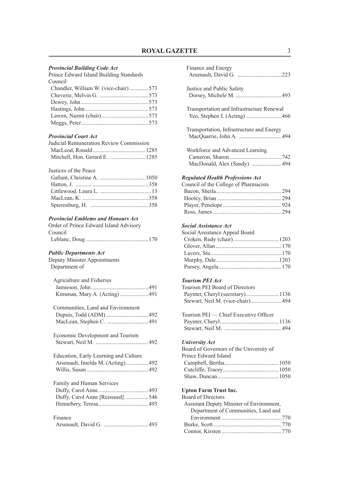#### *Provincial Building Code Act*

| Prince Edward Island Building Standards |  |
|-----------------------------------------|--|
| Council                                 |  |
| Chandler, William W. (vice-chair) 573   |  |
|                                         |  |
|                                         |  |
|                                         |  |
|                                         |  |
|                                         |  |
|                                         |  |

#### *Provincial Court Act*

| Judicial Remuneration Review Commission |  |
|-----------------------------------------|--|
|                                         |  |
|                                         |  |

#### Justices of the Peace

#### *Provincial Emblems and Honours Act*

| Order of Prince Edward Island Advisory |  |
|----------------------------------------|--|
| Council                                |  |
|                                        |  |

#### *Public Departments Act*

Deputy Minister Appointments Department of

| Agriculture and Fisheries |  |
|---------------------------|--|
|                           |  |
|                           |  |

| Communities, Land and Environment |  |
|-----------------------------------|--|
|                                   |  |
|                                   |  |

| Economic Development and Tourism |  |
|----------------------------------|--|
|                                  |  |
|                                  |  |

| Education, Early Learning and Culture |  |
|---------------------------------------|--|
|                                       |  |
|                                       |  |

| Family and Human Services       |  |
|---------------------------------|--|
|                                 |  |
| Duffy, Carol Anne [Reissued]546 |  |
|                                 |  |

| Finance |  |
|---------|--|
|         |  |

| Finance and Energy                                                        |
|---------------------------------------------------------------------------|
| Justice and Public Safety                                                 |
|                                                                           |
| Transportation and Infrastructure Renewal<br>Yeo, Stephen J. (Acting) 466 |
| Transportation, Infrastructure and Energy                                 |
| Workforce and Advanced Learning                                           |
| MacDonald, Alex (Sandy) 494                                               |
| <b>Regulated Health Professions Act</b>                                   |
| Council of the College of Pharmacists                                     |
|                                                                           |
|                                                                           |
|                                                                           |
|                                                                           |
| Social Assistance Act                                                     |
| Social Assistance Appeal Board                                            |
|                                                                           |
|                                                                           |
|                                                                           |
|                                                                           |
|                                                                           |
| <b>Tourism PEI Act</b>                                                    |
| Tourism PEI Board of Directors                                            |
| Paynter, Cheryl (secretary)1136                                           |
| Stewart, Neil M. (vice-chair)494                                          |
|                                                                           |
| Tourism PEI - Chief Executive Officer                                     |
|                                                                           |
|                                                                           |
| <b>University Act</b>                                                     |
| Board of Governors of the University of                                   |
| Prince Edward Island                                                      |
|                                                                           |
|                                                                           |
|                                                                           |
| <b>Upton Farm Trust Inc.</b>                                              |
| <b>Board of Directors</b>                                                 |
| Assistant Deputy Minister of Environment,                                 |
| Department of Communities, Land and                                       |
|                                                                           |
|                                                                           |
|                                                                           |
|                                                                           |
|                                                                           |
|                                                                           |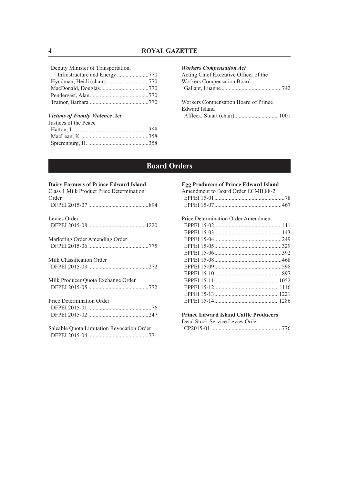Deputy Minister of Transportation,

### *Victims of Family Violence Act*

| Justices of the Peace |  |
|-----------------------|--|
|                       |  |
|                       |  |
|                       |  |

#### *Workers Compensation Act*

| Acting Chief Executive Officer of the |  |
|---------------------------------------|--|
| <b>Workers Compensation Board</b>     |  |
|                                       |  |
| Workers Compensation Board of Prince  |  |
| Edward Island                         |  |

### **Board Orders**

### **Dairy Farmers of Prince Edward Island**

| Class 1 Milk Product Price Determination<br>Order |
|---------------------------------------------------|
|                                                   |
| Levies Order                                      |
|                                                   |
| Marketing Order Amending Order                    |
|                                                   |
| Milk Classification Order                         |
|                                                   |
| Milk Producer Quota Exchange Order                |
|                                                   |
| Price Determination Order                         |
|                                                   |
|                                                   |
| Saleable Ouota Limitation Revocation Order        |
|                                                   |

| <b>Egg Producers of Prince Edward Island</b> |  |  |
|----------------------------------------------|--|--|
| Amendment to Board Order ECMB 88-2           |  |  |
|                                              |  |  |
|                                              |  |  |
|                                              |  |  |
| Price Determination Order Amendment          |  |  |
|                                              |  |  |
|                                              |  |  |
|                                              |  |  |
|                                              |  |  |
|                                              |  |  |
|                                              |  |  |
|                                              |  |  |
|                                              |  |  |
|                                              |  |  |
|                                              |  |  |
|                                              |  |  |
|                                              |  |  |
|                                              |  |  |
| <b>Prince Edward Island Cattle Producers</b> |  |  |

| Dead Stock Service Levies Order             |  |
|---------------------------------------------|--|
| $\sim$ ma $\sim$ s $\sim$ s $\sim$ s $\sim$ |  |

|--|--|--|--|--|--|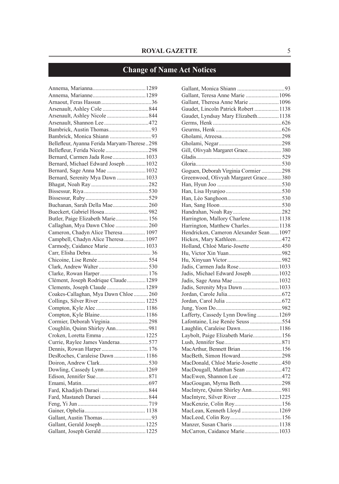## **Change of Name Act Notices**

| Bellefleur, Ayanna Ferida Maryam-Therese298 |  |
|---------------------------------------------|--|
| Bellefleur, Ferida Nicole 298               |  |
| Bernard, Carmen Jada Rose 1033              |  |
| Bernard, Michael Edward Joseph  1032        |  |
| Bernard, Sage Anna Mae 1032                 |  |
| Bernard, Serenity Mya Dawn 1033             |  |
|                                             |  |
|                                             |  |
|                                             |  |
| Buchanan, Sarah Della Mae 260               |  |
|                                             |  |
| Butler, Paige Elizabeth Marie 156           |  |
| Callaghan, Mya Dawn Chloe  260              |  |
| Cameron, Chadyn Alice Theresa 1097          |  |
| Campbell, Chadyn Alice Theresa  1097        |  |
|                                             |  |
| Carmody, Caidance Marie 1033                |  |
|                                             |  |
|                                             |  |
|                                             |  |
|                                             |  |
| Clément, Joseph Rodrique Claude 1289        |  |
| Clements, Joseph Claude  1289               |  |
| Coakes-Callaghan, Mya Dawn Chloe  260       |  |
|                                             |  |
|                                             |  |
|                                             |  |
| Cormier, Deborah Virginia298                |  |
| Coughlin, Quinn Shirley Ann981              |  |
|                                             |  |
| Currie, Raylee James Vanderaa577            |  |
|                                             |  |
| DesRoches, Caraleise Dawn  1186             |  |
|                                             |  |
| Dowling, Cassedy Lynn1269                   |  |
|                                             |  |
|                                             |  |
|                                             |  |
|                                             |  |
|                                             |  |
|                                             |  |
|                                             |  |
| Gallant, Gerald Joseph 1225                 |  |
| Gallant, Joseph Gerald 1225                 |  |
|                                             |  |

| Gallant, Teresa Anne Marie  1096       |  |
|----------------------------------------|--|
| Gallant, Theresa Anne Marie  1096      |  |
| Gaudet, Lincoln Patrick Robert  1138   |  |
| Gaudet, Lyndsay Mary Elizabeth 1138    |  |
|                                        |  |
|                                        |  |
|                                        |  |
|                                        |  |
| Gill, Olivyah Margaret Grace 380       |  |
|                                        |  |
|                                        |  |
| Goguen, Deborah Virginia Cormier 298   |  |
| Greenwood, Olivyah Margaret Grace380   |  |
|                                        |  |
|                                        |  |
|                                        |  |
|                                        |  |
|                                        |  |
| Harrington, Mallory Charlene 1138      |  |
| Harrington, Matthew Charles 1138       |  |
| Hendricken, Cameron Alexander Sean1097 |  |
|                                        |  |
|                                        |  |
| Holland, Chloé Marie-Josette 450       |  |
|                                        |  |
|                                        |  |
| Jadis, Carmen Jada Rose 1033           |  |
| Jadis, Michael Edward Joseph  1032     |  |
|                                        |  |
| Jadis, Serenity Mya Dawn  1033         |  |
|                                        |  |
|                                        |  |
|                                        |  |
| Lafferty, Cassedy Lynn Dowling 1269    |  |
| Lafontaine, Lise Renée Seuss 554       |  |
| Laughlin, Caraleise Dawn 1186          |  |
| Laybolt, Paige Elizabeth Marie 156     |  |
|                                        |  |
| MacArthur, Bennett Brian156            |  |
| MacBeth, Simon Howard298               |  |
| MacDonald, Chloé Marie-Josette 450     |  |
| MacDougall, Matthan Sean 472           |  |
|                                        |  |
| MacGougan, Myrna Beth298               |  |
| MacIntyre, Quinn Shirley Ann981        |  |
| MacIntyre, Silver River  1225          |  |
| MacKenzie, Colin Roy 156               |  |
| MacLean, Kenneth Lloyd  1269           |  |
|                                        |  |
| Manzer, Susan Charis  1138             |  |
| McCarron, Caidance Marie 1033          |  |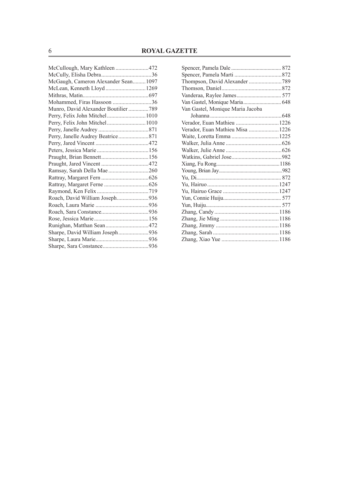| McGaugh, Cameron Alexander Sean 1097 |  |
|--------------------------------------|--|
| McLean, Kenneth Lloyd1269            |  |
|                                      |  |
| Mohammed, Firas Hassoon 36           |  |
| Munro, David Alexander Boutilier 789 |  |
|                                      |  |
|                                      |  |
|                                      |  |
|                                      |  |
|                                      |  |
|                                      |  |
|                                      |  |
|                                      |  |
|                                      |  |
|                                      |  |
|                                      |  |
|                                      |  |
| Roach, David William Joseph936       |  |
|                                      |  |
|                                      |  |
|                                      |  |
|                                      |  |
| Sharpe, David William Joseph936      |  |
|                                      |  |
|                                      |  |
|                                      |  |

| Van Gastel, Monique Maria Jacoba |  |
|----------------------------------|--|
|                                  |  |
|                                  |  |
| Verador, Euan Mathieu Misa 1226  |  |
|                                  |  |
|                                  |  |
|                                  |  |
|                                  |  |
|                                  |  |
|                                  |  |
|                                  |  |
|                                  |  |
|                                  |  |
|                                  |  |
|                                  |  |
|                                  |  |
|                                  |  |
|                                  |  |
|                                  |  |
|                                  |  |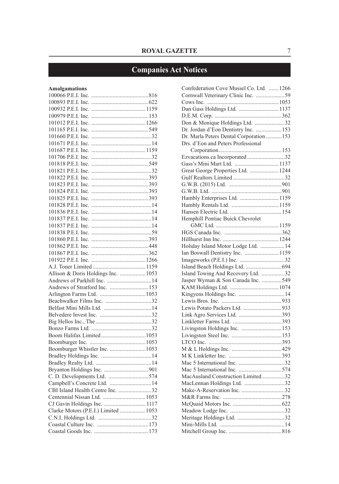## **Companies Act Notices**

### **Amalgamations**

| Allison & Doris Holdings Inc.  1053  |  |
|--------------------------------------|--|
|                                      |  |
| Andrews of Stratford Inc. 153        |  |
|                                      |  |
|                                      |  |
|                                      |  |
|                                      |  |
|                                      |  |
|                                      |  |
|                                      |  |
|                                      |  |
| Boomburger Whistler Inc. 1053        |  |
|                                      |  |
|                                      |  |
|                                      |  |
| C. D. Developments Ltd. 574          |  |
| Campbell's Concrete Ltd.  14         |  |
| CBI Island Health Centre Inc. 32     |  |
|                                      |  |
| CJ Gavin Holdings Inc.  1117         |  |
| Clarke Motors (P.E.I.) Limited  1053 |  |
|                                      |  |
|                                      |  |

| Confederation Cove Mussel Co. Ltd.  1266 |  |
|------------------------------------------|--|
| Cornwall Veterinary Clinic Inc. 59       |  |
|                                          |  |
|                                          |  |
|                                          |  |
| Don & Monique Holdings Ltd. 32           |  |
| Dr. Jordan d'Eon Dentistry Inc.  153     |  |
| Dr. Marla Peters Dental Corporation  153 |  |
| Drs. d'Eon and Peters Professional       |  |
|                                          |  |
| Ezvacations.ca Incorporated32            |  |
|                                          |  |
| Great George Properties Ltd. 1244        |  |
|                                          |  |
|                                          |  |
|                                          |  |
| Hambly Enterprises Ltd.  1159            |  |
|                                          |  |
|                                          |  |
| Hemphill Pontiac Buick Chevrolet         |  |
|                                          |  |
|                                          |  |
|                                          |  |
| Holiday Island Motor Lodge Ltd.  14      |  |
| Ian Boswall Dentistry Inc. 1159          |  |
|                                          |  |
|                                          |  |
| Island Towing And Recovery Ltd. 32       |  |
| Jasper Wyman & Son Canada Inc. 549       |  |
|                                          |  |
|                                          |  |
|                                          |  |
| Lewis Potato Packers Ltd. 933            |  |
|                                          |  |
|                                          |  |
| Livingston Holdings Inc. 153             |  |
|                                          |  |
|                                          |  |
|                                          |  |
|                                          |  |
|                                          |  |
|                                          |  |
| MacAusland Construction Limited32        |  |
| MacLennan Holdings Ltd. 32               |  |
|                                          |  |
|                                          |  |
|                                          |  |
|                                          |  |
|                                          |  |
|                                          |  |
|                                          |  |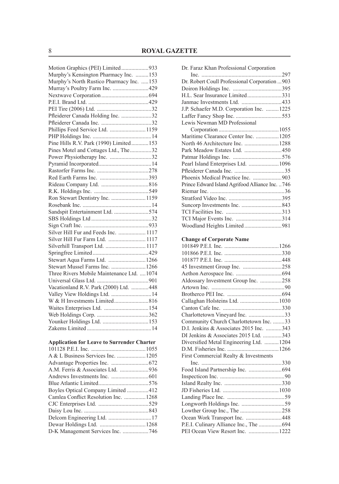| Motion Graphics (PEI) Limited933           |  |
|--------------------------------------------|--|
| Murphy's Kensington Pharmacy Inc. 153      |  |
| Murphy's North Rustico Pharmacy Inc. 153   |  |
| Murray's Poultry Farm Inc. 429             |  |
|                                            |  |
|                                            |  |
|                                            |  |
| Pfleiderer Canada Holding Inc. 32          |  |
|                                            |  |
| Phillips Feed Service Ltd.  1159           |  |
|                                            |  |
| Pine Hills R.V. Park (1990) Limited 153    |  |
| Pines Motel and Cottages Ltd., The32       |  |
| Power Physiotherapy Inc. 32                |  |
|                                            |  |
|                                            |  |
|                                            |  |
|                                            |  |
|                                            |  |
| Ron Stewart Dentistry Inc.  1159           |  |
|                                            |  |
| Sandspit Entertainment Ltd. 574            |  |
|                                            |  |
|                                            |  |
| Silver Hill Fur and Feeds Inc.  1117       |  |
| Silver Hill Fur Farm Ltd.  1117            |  |
| Silverhill Transport Ltd.  1117            |  |
|                                            |  |
| Stewart Aqua Farms Ltd. 1266               |  |
| Stewart Mussel Farms Inc. 1266             |  |
| Three Rivers Mobile Maintenance Ltd.  1074 |  |
|                                            |  |
| Vacationland R.V. Park (2000) Ltd. 448     |  |
| Valley View Holdings Ltd.  14              |  |
| W & H Investments Limited816               |  |
|                                            |  |
|                                            |  |
|                                            |  |
|                                            |  |
|                                            |  |

| <b>Application for Leave to Surrender Charter</b> |  |  |  |  |  |
|---------------------------------------------------|--|--|--|--|--|
|---------------------------------------------------|--|--|--|--|--|

| Camlea Conflict Resolution Inc.  1268 |  |
|---------------------------------------|--|
|                                       |  |
|                                       |  |
|                                       |  |
|                                       |  |
| D-K Management Services Inc. 746      |  |
|                                       |  |

| Dr. Faraz Khan Professional Corporation         |  |
|-------------------------------------------------|--|
|                                                 |  |
| Dr. Robert Coull Professional Corporation  903  |  |
|                                                 |  |
| H.L. Sear Insurance Limited331                  |  |
| Janmac Investments Ltd. 433                     |  |
| J.P. Schaefer M.D. Corporation Inc.  1225       |  |
|                                                 |  |
| Lewis Newman MD Professional                    |  |
|                                                 |  |
| Maritime Clearance Center Inc. 1205             |  |
|                                                 |  |
| Park Meadow Estates Ltd. 450                    |  |
|                                                 |  |
| Pearl Island Enterprises Ltd.  1096             |  |
|                                                 |  |
| Phoenix Medical Practice Inc. 903               |  |
| Prince Edward Island Agrifood Alliance Inc. 746 |  |
|                                                 |  |
|                                                 |  |
|                                                 |  |
|                                                 |  |
|                                                 |  |
| Woodland Heights Limited981                     |  |
|                                                 |  |
|                                                 |  |
|                                                 |  |
| <b>Change of Corporate Name</b>                 |  |
|                                                 |  |
|                                                 |  |
|                                                 |  |
| 45 Investment Group Inc. 258                    |  |
|                                                 |  |
| Aldossary Investment Group Inc. 258             |  |
|                                                 |  |
|                                                 |  |
| Callaghan Holsteins Ltd.  1030                  |  |
|                                                 |  |
| Charlottetown Vineyard Inc. 33                  |  |
| Community Church Charlottetown Inc. 33          |  |
| D.I. Jenkins & Associates 2015 Inc. 343         |  |
| DI Jenkins & Associates 2015 Ltd. 343           |  |
| Diversified Metal Engineering Ltd. 1204         |  |
|                                                 |  |
| First Commercial Realty & Investments           |  |
|                                                 |  |
|                                                 |  |
|                                                 |  |
|                                                 |  |
|                                                 |  |
|                                                 |  |

Lowther Group Inc., The .............................258 Ocean Work Transport Inc. .........................448 P.E.I. Culinary Alliance Inc., The ................694 PEI Ocean View Resort Inc. .....................1222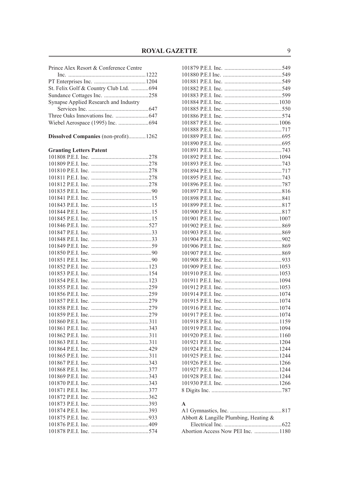| Prince Alex Resort & Conference Centre  |  |  |  |  |
|-----------------------------------------|--|--|--|--|
|                                         |  |  |  |  |
|                                         |  |  |  |  |
| St. Felix Golf & Country Club Ltd.  694 |  |  |  |  |
|                                         |  |  |  |  |
| Synapse Applied Research and Industry   |  |  |  |  |
|                                         |  |  |  |  |
|                                         |  |  |  |  |
| Wiebel Aerospace (1995) Inc.  694       |  |  |  |  |
|                                         |  |  |  |  |
| Dissolved Companies (non-profit) 1262   |  |  |  |  |
| <b>Granting Letters Patent</b>          |  |  |  |  |
|                                         |  |  |  |  |
|                                         |  |  |  |  |
|                                         |  |  |  |  |
|                                         |  |  |  |  |
|                                         |  |  |  |  |
|                                         |  |  |  |  |
|                                         |  |  |  |  |
|                                         |  |  |  |  |
|                                         |  |  |  |  |
|                                         |  |  |  |  |
|                                         |  |  |  |  |
|                                         |  |  |  |  |
|                                         |  |  |  |  |
|                                         |  |  |  |  |
|                                         |  |  |  |  |
|                                         |  |  |  |  |
|                                         |  |  |  |  |
|                                         |  |  |  |  |
|                                         |  |  |  |  |
|                                         |  |  |  |  |
|                                         |  |  |  |  |
|                                         |  |  |  |  |
|                                         |  |  |  |  |
|                                         |  |  |  |  |
|                                         |  |  |  |  |
|                                         |  |  |  |  |
|                                         |  |  |  |  |
|                                         |  |  |  |  |
|                                         |  |  |  |  |
|                                         |  |  |  |  |
|                                         |  |  |  |  |
|                                         |  |  |  |  |
|                                         |  |  |  |  |
|                                         |  |  |  |  |
|                                         |  |  |  |  |
|                                         |  |  |  |  |
|                                         |  |  |  |  |
|                                         |  |  |  |  |
|                                         |  |  |  |  |
|                                         |  |  |  |  |
|                                         |  |  |  |  |

### $\mathbf A$

| Abbott & Langille Plumbing, Heating & |  |
|---------------------------------------|--|
|                                       |  |
| Abortion Access Now PEI Inc.  1180    |  |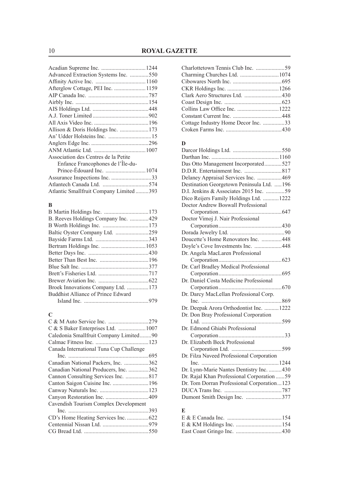| Advanced Extraction Systems Inc. 550   |  |
|----------------------------------------|--|
|                                        |  |
|                                        |  |
|                                        |  |
|                                        |  |
|                                        |  |
|                                        |  |
|                                        |  |
|                                        |  |
|                                        |  |
|                                        |  |
|                                        |  |
| Association des Centres de la Petite   |  |
| Enfance Francophones de l'Île-du-      |  |
|                                        |  |
| Assurance Inspections Inc. 33          |  |
|                                        |  |
| Atlantic Smallfruit Company Limited393 |  |
|                                        |  |

### **B**

| B. Reeves Holdings Company Inc. 429 |
|-------------------------------------|
|                                     |
|                                     |
|                                     |
|                                     |
|                                     |
|                                     |
|                                     |
|                                     |
|                                     |
| Broek Innovations Company Ltd. 173  |
|                                     |
|                                     |
|                                     |

### **C**

| C & S Baker Enterprises Ltd.  1007      |  |
|-----------------------------------------|--|
| Caledonia Smallfruit Company Limited90  |  |
|                                         |  |
| Canada International Tuna Cup Challenge |  |
|                                         |  |
| Canadian National Packers, Inc. 362     |  |
| Canadian National Producers, Inc. 362   |  |
| Cannon Consulting Services Inc. 817     |  |
|                                         |  |
|                                         |  |
|                                         |  |
| Cavendish Tourism Complex Development   |  |
|                                         |  |
|                                         |  |
|                                         |  |
|                                         |  |
|                                         |  |

| Cottage Industry Home Decor Inc. 33 |  |
|-------------------------------------|--|
|                                     |  |
|                                     |  |

### **D**

| Das Otto Management Incorporated527        |  |
|--------------------------------------------|--|
|                                            |  |
| Delaney Appraisal Services Inc. 469        |  |
| Destination Georgetown Peninsula Ltd. 196  |  |
| D.I. Jenkins & Associates 2015 Inc. 59     |  |
| Dico Reijers Family Holdings Ltd.  1222    |  |
| Doctor Andrew Boswall Professional         |  |
|                                            |  |
| Doctor Vimoj J. Nair Professional          |  |
|                                            |  |
|                                            |  |
| Doucette's Home Renovators Inc. 448        |  |
| Doyle's Cove Investments Inc. 448          |  |
| Dr. Angela MacLaren Professional           |  |
|                                            |  |
| Dr. Carl Bradley Medical Professional      |  |
|                                            |  |
| Dr. Daniel Costa Medicine Professional     |  |
|                                            |  |
| Dr. Darcy MacLellan Professional Corp.     |  |
|                                            |  |
| Dr. Deepak Arora Orthodontist Inc.  1222   |  |
| Dr. Don Bray Professional Corporation      |  |
|                                            |  |
| Dr. Edmond Ghiabi Professional             |  |
|                                            |  |
| Dr. Elizabeth Beck Professional            |  |
|                                            |  |
| Dr. Filza Naveed Professional Corporation  |  |
|                                            |  |
| Dr. Lynn-Marie Nantes Dentistry Inc. 430   |  |
| Dr. Rajal Khan Professional Corporation 59 |  |
| Dr. Tom Dorran Professional Corporation123 |  |
|                                            |  |
| Dumont Smith Design Inc. 377               |  |
|                                            |  |

### **E**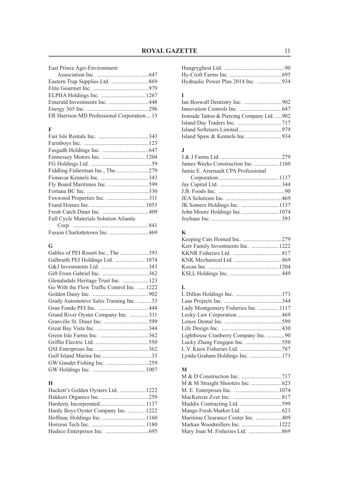East Prince Agri-Environment

| ER Harrison MD Professional Corporation15 |  |
|-------------------------------------------|--|

### **F**

| Fly Board Maritimes Inc. 599                  |  |
|-----------------------------------------------|--|
|                                               |  |
|                                               |  |
|                                               |  |
|                                               |  |
| <b>Full Cycle Materials Solution Atlantic</b> |  |
|                                               |  |
|                                               |  |

### **G**

| Gables of PEI Resort Inc., The 393         |  |
|--------------------------------------------|--|
|                                            |  |
|                                            |  |
|                                            |  |
| Glenaladale Heritage Trust Inc.  123       |  |
| Go With the Flow Traffic Control Inc. 1222 |  |
|                                            |  |
| Grady Automotive Sales Training Inc. 33    |  |
|                                            |  |
| Grand River Oyster Company Inc. 311        |  |
|                                            |  |
|                                            |  |
|                                            |  |
|                                            |  |
|                                            |  |
|                                            |  |
| GW Gaudet Fishing Inc. 259                 |  |
|                                            |  |

### **H**

| Hackett's Golden Oysters Ltd.  1222  |  |
|--------------------------------------|--|
|                                      |  |
|                                      |  |
| Hardy Boys Oyster Company Inc.  1222 |  |
|                                      |  |
|                                      |  |
|                                      |  |

### **I**

| Ironside Tattoo & Piercing Company Ltd. 902 |  |
|---------------------------------------------|--|
|                                             |  |
|                                             |  |
|                                             |  |

### **J**

| James Weeks Construction Inc.  1160 |
|-------------------------------------|
|                                     |
|                                     |
|                                     |
|                                     |
|                                     |
|                                     |
|                                     |
|                                     |
|                                     |

### **K**

| Kerr Family Investments Inc.  1222 |  |
|------------------------------------|--|
|                                    |  |
|                                    |  |
|                                    |  |
|                                    |  |

### **L**

| Lady Montgomery Fisheries Inc.  1117 |  |
|--------------------------------------|--|
|                                      |  |
|                                      |  |
|                                      |  |
| Lighthouse Cranberry Company Inc. 90 |  |
|                                      |  |
|                                      |  |
| Lynda Graham Holdings Inc.  173      |  |

### **M**

| Maritime Clearance Center Inc. 409 |  |
|------------------------------------|--|
|                                    |  |
|                                    |  |
|                                    |  |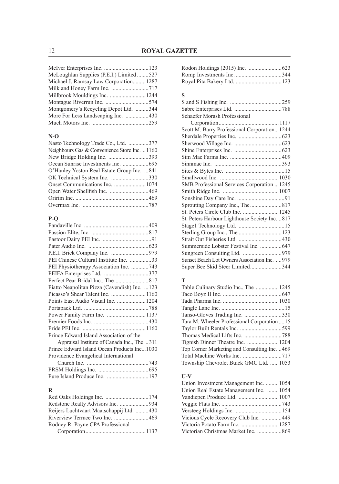| McLoughlan Supplies (P.E.I.) Limited527 |  |
|-----------------------------------------|--|
| Michael J. Ramsay Law Corporation1287   |  |
|                                         |  |
|                                         |  |
|                                         |  |
| Montgomery's Recycling Depot Ltd. 344   |  |
|                                         |  |
|                                         |  |
|                                         |  |

### **N-O**

| Nasto Technology Trade Co., Ltd. 377         |  |
|----------------------------------------------|--|
| Neighbours Gas & Convenience Store Inc. 1160 |  |
| New Bridge Holding Inc. 393                  |  |
|                                              |  |
| O'Hanley Yoston Real Estate Group Inc. 841   |  |
|                                              |  |
|                                              |  |
|                                              |  |
|                                              |  |
|                                              |  |

### **P-Q**

| PEI Chinese Cultural Institute Inc. 33       |  |
|----------------------------------------------|--|
| PEI Physiotherapy Association Inc. 743       |  |
|                                              |  |
|                                              |  |
| Piatto Neapolitan Pizza (Cavendish) Inc. 123 |  |
| Picasso's Shear Talent Inc.  1160            |  |
| Points East Audio Visual Inc.  1204          |  |
|                                              |  |
| Power Family Farm Inc.  1137                 |  |
|                                              |  |
|                                              |  |
| Prince Edward Island Association of the      |  |
| Appraisal Institute of Canada Inc., The 311  |  |
| Prince Edward Island Ocean Products Inc1030  |  |
| Providence Evangelical International         |  |
|                                              |  |
|                                              |  |
|                                              |  |
|                                              |  |

### **R**

| Reijers Luchtvaart Maatschappij Ltd. 430 |  |
|------------------------------------------|--|
|                                          |  |
| Rodney R. Payne CPA Professional         |  |
|                                          |  |

### **S**

| Schaefer Morash Professional                    |  |
|-------------------------------------------------|--|
|                                                 |  |
| Scott M. Barry Professional Corporation1244     |  |
|                                                 |  |
|                                                 |  |
|                                                 |  |
|                                                 |  |
|                                                 |  |
|                                                 |  |
|                                                 |  |
| SMB Professional Services Corporation  1245     |  |
|                                                 |  |
|                                                 |  |
|                                                 |  |
| St. Peters Circle Club Inc.  1245               |  |
| St. Peters Harbour Lighthouse Society Inc.  817 |  |
|                                                 |  |
|                                                 |  |
|                                                 |  |
| Summerside Lobster Festival Inc.  647           |  |
|                                                 |  |
| Sunset Beach Lot Owners Association Inc.  979   |  |
| Super Bee Skid Steer Limited344                 |  |
|                                                 |  |

### **T**

| Table Culinary Studio Inc., The  1245        |  |
|----------------------------------------------|--|
|                                              |  |
|                                              |  |
|                                              |  |
|                                              |  |
| Tara M. Wheeler Professional Corporation  15 |  |
|                                              |  |
|                                              |  |
| Tignish Dinner Theatre Inc. 1204             |  |
| Top Corner Marketing and Consulting Inc. 469 |  |
|                                              |  |
| Township Chevrolet Buick GMC Ltd. 1053       |  |
|                                              |  |

### **U-V**

| Union Investment Management Inc.  1054 |  |
|----------------------------------------|--|
| Union Real Estate Management Inc. 1054 |  |
|                                        |  |
|                                        |  |
|                                        |  |
| Vicious Cycle Recovery Club Inc. 449   |  |
|                                        |  |
|                                        |  |
|                                        |  |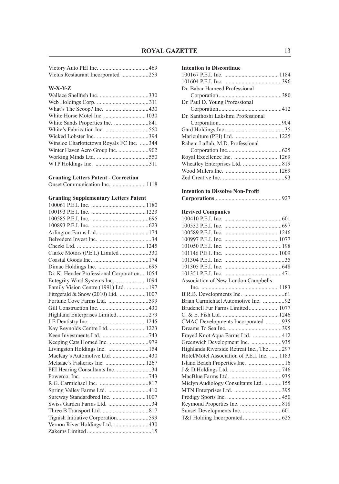| Victus Restaurant Incorporated 259 |  |
|------------------------------------|--|

### **W-X-Y-Z**

| Winsloe Charlottetown Royals FC Inc. 344 |  |
|------------------------------------------|--|
|                                          |  |
|                                          |  |
|                                          |  |

### **Granting Letters Patent - Correction**

|--|

### **Granting Supplementary Letters Patent**

| Clarke Motors (P.E.I.) Limited 330         |  |
|--------------------------------------------|--|
|                                            |  |
|                                            |  |
| Dr. K. Hender Professional Corporation1054 |  |
| Entegrity Wind Systems Inc.  1094          |  |
| Family Vision Centre (1991) Ltd.  197      |  |
| Fitzgerald & Snow (2010) Ltd.  1007        |  |
| Fortune Cove Farms Ltd. 599                |  |
|                                            |  |
| Highland Enterprises Limited279            |  |
|                                            |  |
| Kay Reynolds Centre Ltd.  1223             |  |
|                                            |  |
|                                            |  |
|                                            |  |
| MacKay's Automotive Ltd. 430               |  |
| McIsaac's Fisheries Inc.  1267             |  |
| PEI Hearing Consultants Inc. 34            |  |
|                                            |  |
|                                            |  |
| Spring Valley Farms Ltd. 410               |  |
| Sureway Standardbred Inc.  1007            |  |
| Swiss Garden Farms Ltd. 34                 |  |
|                                            |  |
| Tignish Initiative Corporation599          |  |
| Vernon River Holdings Ltd. 430             |  |
|                                            |  |

### **Intention to Discontinue**

#### **Intention to Dissolve Non-Profit**

|--|--|

### **Revived Companies**

| Association of New London Campbells          |  |
|----------------------------------------------|--|
|                                              |  |
|                                              |  |
| Brian Carmichael Automotive Inc. 92          |  |
| Brudenell Fur Farms Limited 1077             |  |
|                                              |  |
| CMAC Developments Incorporated 935           |  |
|                                              |  |
| Frayed Knot Aqua Farms Ltd. 412              |  |
| Greenwich Development Inc. 935               |  |
| Highlands Riverside Retreat Inc., The 297    |  |
| Hotel/Motel Association of P.E.I. Inc.  1183 |  |
| Island Beach Properties Inc.  16             |  |
|                                              |  |
|                                              |  |
| Miclyn Audiology Consultants Ltd.  155       |  |
|                                              |  |
|                                              |  |
|                                              |  |
|                                              |  |
|                                              |  |
|                                              |  |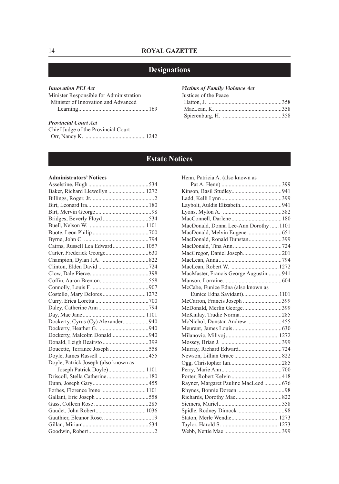### **Designations**

### *Innovation PEI Act*

Minister Responsible for Administration Minister of Innovation and Advanced Learning.................................................169

#### *Provincial Court Act*

Chief Judge of the Provincial Court Orr, Nancy K. ..........................................1242

#### *Victims of Family Violence Act*

| Justices of the Peace |  |
|-----------------------|--|
|                       |  |
|                       |  |
|                       |  |

### **Estate Notices**

#### **Administrators' Notices**

| Baker, Richard Llewellyn  1272<br>Cairns, Russell Lea Edward 1057<br>Costello, Mary Delores  1272<br>Dockerty, Cyrus (Cy) Alexander940<br>Dockerty, Malcolm Donald940<br>Donald, Leigh Beairsto 399<br>Doucette, Terrance Joseph 558<br>Doyle, Patrick Joseph (also known as<br>Joseph Patrick Doyle) 1101 |  |
|------------------------------------------------------------------------------------------------------------------------------------------------------------------------------------------------------------------------------------------------------------------------------------------------------------|--|
|                                                                                                                                                                                                                                                                                                            |  |
|                                                                                                                                                                                                                                                                                                            |  |
|                                                                                                                                                                                                                                                                                                            |  |
|                                                                                                                                                                                                                                                                                                            |  |
|                                                                                                                                                                                                                                                                                                            |  |
|                                                                                                                                                                                                                                                                                                            |  |
|                                                                                                                                                                                                                                                                                                            |  |
|                                                                                                                                                                                                                                                                                                            |  |
|                                                                                                                                                                                                                                                                                                            |  |
|                                                                                                                                                                                                                                                                                                            |  |
|                                                                                                                                                                                                                                                                                                            |  |
|                                                                                                                                                                                                                                                                                                            |  |
|                                                                                                                                                                                                                                                                                                            |  |
|                                                                                                                                                                                                                                                                                                            |  |
|                                                                                                                                                                                                                                                                                                            |  |
|                                                                                                                                                                                                                                                                                                            |  |
|                                                                                                                                                                                                                                                                                                            |  |
|                                                                                                                                                                                                                                                                                                            |  |
|                                                                                                                                                                                                                                                                                                            |  |
|                                                                                                                                                                                                                                                                                                            |  |
|                                                                                                                                                                                                                                                                                                            |  |
|                                                                                                                                                                                                                                                                                                            |  |
|                                                                                                                                                                                                                                                                                                            |  |
|                                                                                                                                                                                                                                                                                                            |  |
|                                                                                                                                                                                                                                                                                                            |  |
|                                                                                                                                                                                                                                                                                                            |  |
|                                                                                                                                                                                                                                                                                                            |  |
|                                                                                                                                                                                                                                                                                                            |  |
|                                                                                                                                                                                                                                                                                                            |  |
|                                                                                                                                                                                                                                                                                                            |  |
|                                                                                                                                                                                                                                                                                                            |  |
|                                                                                                                                                                                                                                                                                                            |  |
|                                                                                                                                                                                                                                                                                                            |  |
|                                                                                                                                                                                                                                                                                                            |  |
|                                                                                                                                                                                                                                                                                                            |  |
|                                                                                                                                                                                                                                                                                                            |  |

| Laybolt, Auldis Elizabeth941           |
|----------------------------------------|
|                                        |
|                                        |
| MacDonald, Donna Lee-Ann Dorothy  1101 |
|                                        |
| MacDonald, Ronald Dunstan399           |
|                                        |
| MacGregor, Daniel Joseph201            |
|                                        |
|                                        |
| MacMaster, Francis George Augustin941  |
|                                        |
|                                        |
| Eunice Edna Savidant) 1101             |
| McCarron, Francis Joseph 399           |
| McDonald, Merlin George399             |
| McKinlay, Trudie Norma285              |
| McNichol, Dunstan Andrew 455           |
|                                        |
|                                        |
|                                        |
|                                        |
|                                        |
|                                        |
|                                        |
|                                        |
| Rayner, Margaret Pauline MacLeod  676  |
|                                        |
|                                        |
|                                        |
|                                        |
|                                        |
|                                        |
|                                        |
|                                        |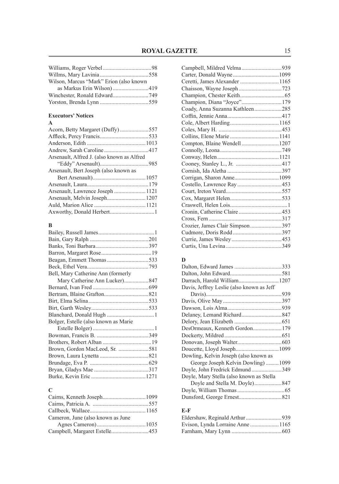| Wilson, Marcus "Mark" Erion (also known |  |
|-----------------------------------------|--|
| as Markus Erin Wilson)419               |  |
|                                         |  |
|                                         |  |

### **Executors' Notices**

### **A**

| Acorn, Betty Margaret (Duffy)557           |  |
|--------------------------------------------|--|
|                                            |  |
|                                            |  |
|                                            |  |
| Arsenault, Alfred J. (also known as Alfred |  |
|                                            |  |
| Arsenault, Bert Joseph (also known as      |  |
|                                            |  |
|                                            |  |
|                                            |  |
|                                            |  |
|                                            |  |
|                                            |  |
|                                            |  |

### **B**

| Bell, Mary Catherine Ann (formerly   |  |
|--------------------------------------|--|
|                                      |  |
|                                      |  |
|                                      |  |
|                                      |  |
|                                      |  |
|                                      |  |
| Bolger, Estelle (also known as Marie |  |
|                                      |  |
|                                      |  |
|                                      |  |
| Brown, Gordon MacLeod, Sr. 581       |  |
|                                      |  |
|                                      |  |
|                                      |  |
|                                      |  |

### **C**

| Cameron, June (also known as June |  |
|-----------------------------------|--|
|                                   |  |
|                                   |  |

| Ceretti, James Alexander  1165  |  |
|---------------------------------|--|
|                                 |  |
|                                 |  |
| Champion, Diana "Joyce"179      |  |
| Coady, Anna Suzanna Kathleen285 |  |
|                                 |  |
|                                 |  |
|                                 |  |
|                                 |  |
| Compton, Blaine Wendell  1207   |  |
|                                 |  |
|                                 |  |
|                                 |  |
|                                 |  |
|                                 |  |
|                                 |  |
|                                 |  |
|                                 |  |
|                                 |  |
|                                 |  |
|                                 |  |
|                                 |  |
|                                 |  |
|                                 |  |
|                                 |  |
|                                 |  |

### **D**

| Darrach, Harold William 1207              |  |
|-------------------------------------------|--|
| Davis, Jeffrey Leslie (also known as Jeff |  |
|                                           |  |
|                                           |  |
|                                           |  |
|                                           |  |
|                                           |  |
| DesOrmeaux, Kenneth Gordon179             |  |
|                                           |  |
|                                           |  |
| Doucette, Lloyd Joseph1099                |  |
| Dowling, Kelvin Joseph (also known as     |  |
| George Joseph Kelvin Dowling) 1099        |  |
| Doyle, John Fredrick Edmund349            |  |
| Doyle, Mary Stella (also known as Stella  |  |
|                                           |  |
|                                           |  |
|                                           |  |
|                                           |  |

### **E-F**

| Evison, Lynda Lorraine Anne  1165 |  |
|-----------------------------------|--|
|                                   |  |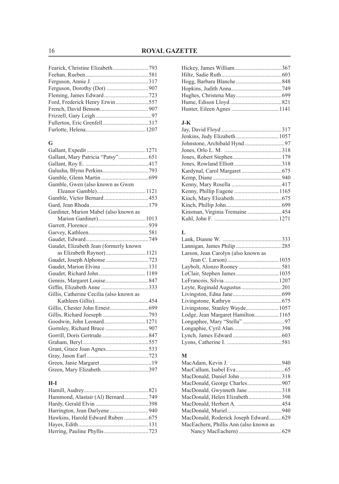| Ford, Frederick Henry Erwin557 |  |
|--------------------------------|--|
|                                |  |
|                                |  |
|                                |  |
|                                |  |
|                                |  |

### **G**

| Gamble, Gwen (also known as Gwen         |  |
|------------------------------------------|--|
|                                          |  |
|                                          |  |
|                                          |  |
| Gardiner, Marion Mabel (also known as    |  |
|                                          |  |
|                                          |  |
|                                          |  |
|                                          |  |
| Gaudet, Elizabeth Jean (formerly known   |  |
| as Elizabeth Raynor)1121                 |  |
|                                          |  |
|                                          |  |
| Gaudet, Richard John 1189                |  |
|                                          |  |
|                                          |  |
| Gillis, Catherine Cecilia (also known as |  |
|                                          |  |
|                                          |  |
|                                          |  |
| Goodwin, John Leonard 1271               |  |
|                                          |  |
|                                          |  |
|                                          |  |
| Grant, Grace Joan Agnes533               |  |
|                                          |  |
|                                          |  |
|                                          |  |

### **H-I**

| Hammond, Alastair (Al) Bernard749 |  |
|-----------------------------------|--|
|                                   |  |
|                                   |  |
|                                   |  |
|                                   |  |
|                                   |  |

### **J-K**

| Johnstone, Archibald Hynd97   |  |
|-------------------------------|--|
|                               |  |
|                               |  |
|                               |  |
|                               |  |
|                               |  |
|                               |  |
| Kenny, Phillip Eugene  1165   |  |
|                               |  |
|                               |  |
| Kinsman, Virginia Tremaine454 |  |
|                               |  |
|                               |  |

### **L**

| Larson, Jean Carolyn (also known as |  |
|-------------------------------------|--|
|                                     |  |
|                                     |  |
|                                     |  |
|                                     |  |
|                                     |  |
|                                     |  |
|                                     |  |
| Livingstone, Stanley Wayde 1057     |  |
|                                     |  |
|                                     |  |
|                                     |  |
|                                     |  |
|                                     |  |

### **M**

| MacDonald, Roderick Joseph Edward629   |  |
|----------------------------------------|--|
| MacEachern, Phillis Ann (also known as |  |
|                                        |  |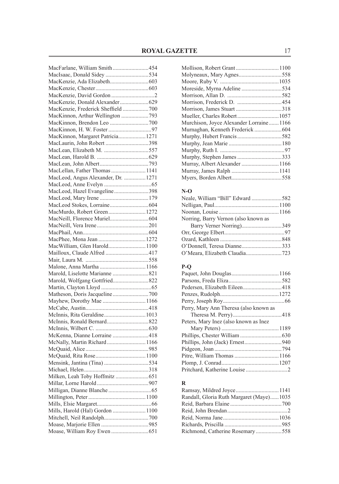| MacFarlane, William Smith454                                 |  |
|--------------------------------------------------------------|--|
| MacIsaac, Donald Sidey 534                                   |  |
|                                                              |  |
|                                                              |  |
|                                                              |  |
| MacKenzie, Donald Alexander629                               |  |
| MacKenzie, Frederick Sheffield  700                          |  |
| MacKinnon, Arthur Wellington 793                             |  |
|                                                              |  |
|                                                              |  |
| MacKinnon, Margaret Patricia1271                             |  |
| MacLaurin, John Robert 398                                   |  |
| MacLean, Elizabeth M. 557                                    |  |
|                                                              |  |
|                                                              |  |
| MacLellan, Father Thomas  1141                               |  |
| MacLeod, Angus Alexander, Dr. 1271                           |  |
|                                                              |  |
| MacLeod, Hazel Evangeline398                                 |  |
|                                                              |  |
|                                                              |  |
| MacMurdo, Robert Green 1272                                  |  |
|                                                              |  |
|                                                              |  |
|                                                              |  |
| MacPhee, Mona Jean  1272                                     |  |
| MacWilliam, Glen Harold 1100                                 |  |
| Mailloux, Claude Alfred 417                                  |  |
|                                                              |  |
| Malone, Anna Martha  1166                                    |  |
|                                                              |  |
| Marold, Wolfgang Gottfried822                                |  |
|                                                              |  |
|                                                              |  |
| Mayhew, Dorothy Mae  1166                                    |  |
|                                                              |  |
| McInnis, Rita Geraldine1013                                  |  |
|                                                              |  |
|                                                              |  |
|                                                              |  |
| McKenna, Dianne Lorraine 418<br>McNally, Martin Richard 1166 |  |
|                                                              |  |
|                                                              |  |
|                                                              |  |
| Mensink, Jantina (Tina) 534                                  |  |
|                                                              |  |
|                                                              |  |
|                                                              |  |
|                                                              |  |
|                                                              |  |
|                                                              |  |
| Mills, Harold (Hal) Gordon  1100                             |  |
|                                                              |  |
|                                                              |  |
|                                                              |  |

| Murchison, Joyce Alexander Lorraine1166 |  |
|-----------------------------------------|--|
|                                         |  |
|                                         |  |
|                                         |  |
|                                         |  |
|                                         |  |
|                                         |  |
|                                         |  |
|                                         |  |
|                                         |  |

### **N-O**

| Neale, William "Bill" Edward 582     |  |
|--------------------------------------|--|
|                                      |  |
|                                      |  |
| Norring, Barry Vernon (also known as |  |
| Barry Verner Norring)349             |  |
|                                      |  |
|                                      |  |
|                                      |  |
|                                      |  |

### **P-Q**

| Perry, Mary Ann Theresa (also known as |  |
|----------------------------------------|--|
|                                        |  |
| Peters, Mary Inez (also known as Inez  |  |
|                                        |  |
|                                        |  |
|                                        |  |
|                                        |  |
|                                        |  |
|                                        |  |
|                                        |  |
|                                        |  |

### **R**

| Randall, Gloria Ruth Margaret (Maye)1035 |  |
|------------------------------------------|--|
|                                          |  |
|                                          |  |
|                                          |  |
|                                          |  |
| Richmond, Catherine Rosemary558          |  |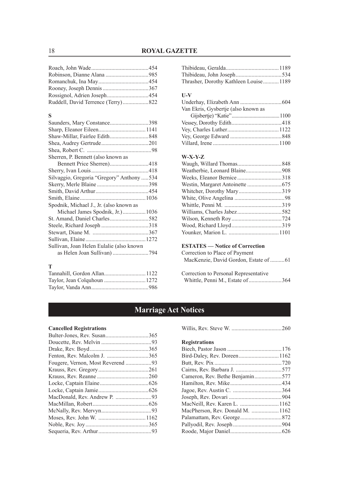### **S**

| Saunders, Mary Constance398                |  |
|--------------------------------------------|--|
|                                            |  |
|                                            |  |
|                                            |  |
|                                            |  |
| Sherren, P. Bennett (also known as         |  |
|                                            |  |
|                                            |  |
| Silvaggio, Gregoria "Gregory" Anthony  534 |  |
|                                            |  |
|                                            |  |
|                                            |  |
| Spodnik, Michael J., Jr. (also known as    |  |
|                                            |  |
|                                            |  |
|                                            |  |
|                                            |  |
|                                            |  |
| Sullivan, Joan Helen Eulalie (also known   |  |
|                                            |  |
|                                            |  |

#### **T**

| Thrasher, Dorothy Kathleen Louise 1189 |  |
|----------------------------------------|--|

#### **U-V**

| Van Ekris, Gysbertje (also known as |  |
|-------------------------------------|--|
|                                     |  |
|                                     |  |
|                                     |  |
|                                     |  |
|                                     |  |

### **W-X-Y-Z**

### **ESTATES — Notice of Correction**

Correction to Place of Payment MacKenzie, David Gordon, Estate of ..........61

Correction to Personal Representative Whittle, Penni M., Estate of.......................364

### **Marriage Act Notices**

### **Cancelled Registrations**

|--|--|--|--|

### **Registrations**

| Cameron, Rev. Bethe Benjamin577  |  |
|----------------------------------|--|
|                                  |  |
|                                  |  |
|                                  |  |
| MacNeill, Rev. Karen L.  1162    |  |
| MacPherson, Rev. Donald M.  1162 |  |
|                                  |  |
|                                  |  |
|                                  |  |
|                                  |  |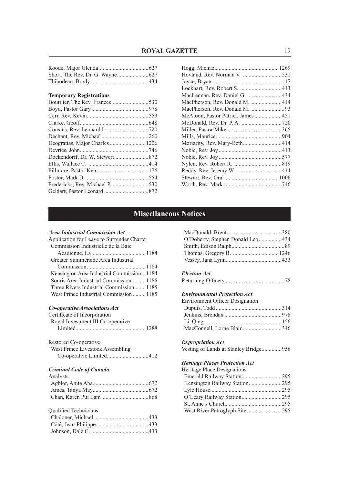#### **Temporary Registrations**

| Boutilier, The Rev. Frances530 |  |
|--------------------------------|--|
|                                |  |
|                                |  |
|                                |  |
|                                |  |
|                                |  |
|                                |  |
|                                |  |
|                                |  |
|                                |  |
|                                |  |
|                                |  |
|                                |  |
|                                |  |
|                                |  |

| MacLennan, Rev. Daniel G. 434     |  |
|-----------------------------------|--|
| MacPherson, Rev. Donald M. 414    |  |
|                                   |  |
| McAloon, Pastor Patrick James 451 |  |
|                                   |  |
|                                   |  |
|                                   |  |
|                                   |  |
|                                   |  |
|                                   |  |
|                                   |  |
|                                   |  |
|                                   |  |
|                                   |  |
|                                   |  |

### **Miscellaneous Notices**

#### *Area Industrial Commission Act*

| Application for Leave to Surrender Charter |
|--------------------------------------------|
| Commission Industrielle de la Baie         |
|                                            |
| Greater Summerside Area Industrial         |
|                                            |
| Kensington Area Industrial Commission1184  |
| Souris Area Industrial Commission 1185     |
| Three Rivers Industrial Commission 1185    |
| West Prince Industrial Commission  1185    |
|                                            |

#### *Co-operative Associations Act*

| Certificate of Incorporation      |
|-----------------------------------|
| Royal Investment III Co-operative |
|                                   |

| Restored Co-operative            |  |
|----------------------------------|--|
| West Prince Livestock Assembling |  |
|                                  |  |

#### *Criminal Code of Canada*

| Analysts |  |
|----------|--|
|          |  |
|          |  |
|          |  |

#### Qualified Technicians

| O'Doherty, Stephen Donald Leo434 |  |
|----------------------------------|--|
|                                  |  |
|                                  |  |
|                                  |  |

#### *Election Act*

|--|--|--|--|

### *Environmental Protection Act*

| <b>Environment Officer Designation</b> |  |
|----------------------------------------|--|
|                                        |  |
|                                        |  |
|                                        |  |
| MacConnell, Lorne Blair346             |  |

### *Expropriation Act*

|  |  | Vesting of Lands at Stanley Bridge956 |  |
|--|--|---------------------------------------|--|
|  |  |                                       |  |

### *Heritage Places Protection Act*

| Heritage Place Designations |  |
|-----------------------------|--|
|                             |  |
|                             |  |
|                             |  |
|                             |  |
|                             |  |
|                             |  |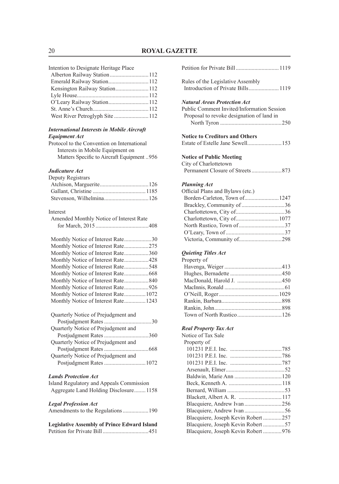| Intention to Designate Heritage Place |  |
|---------------------------------------|--|
| Alberton Railway Station 112          |  |
|                                       |  |
|                                       |  |
|                                       |  |
| O'Leary Railway Station 112           |  |
|                                       |  |
|                                       |  |
|                                       |  |

#### *International Interests in Mobile Aircraft Equipment Act*

Protocol to the Convention on International Interests in Mobile Equipment on Matters Specific to Aircraft Equipment ..956

### *Judicature Act*

| Deputy Registrars |  |
|-------------------|--|
|                   |  |
|                   |  |
|                   |  |

### Interest

| Amended Monthly Notice of Interest Rate |  |
|-----------------------------------------|--|
|                                         |  |
| Monthly Notice of Interest Rate30       |  |
|                                         |  |
| Monthly Notice of Interest Rate360      |  |
| Monthly Notice of Interest Rate428      |  |
| Monthly Notice of Interest Rate548      |  |
|                                         |  |
|                                         |  |
|                                         |  |
| Monthly Notice of Interest Rate 1072    |  |
| Monthly Notice of Interest Rate 1243    |  |
| Quarterly Notice of Prejudgment and     |  |
|                                         |  |
| Quarterly Notice of Prejudgment and     |  |
|                                         |  |
| Quarterly Notice of Prejudgment and     |  |
|                                         |  |
| Quarterly Notice of Prejudgment and     |  |
|                                         |  |

### Postjudgment Rates.............................1072

#### *Lands Protection Act*

|  | Island Regulatory and Appeals Commission |  |
|--|------------------------------------------|--|
|  | Aggregate Land Holding Disclosure1158    |  |

#### *Legal Profession Act*

| $L_{\mathcal{L}}$ at 1 10 jessivn 71 cm |                                    |  |
|-----------------------------------------|------------------------------------|--|
|                                         | Amendments to the Regulations  190 |  |

| <b>Legislative Assembly of Prince Edward Island</b> |  |
|-----------------------------------------------------|--|
|                                                     |  |

| Petition for Private Bill 1119                                                                                                 |
|--------------------------------------------------------------------------------------------------------------------------------|
| Rules of the Legislative Assembly<br>Introduction of Private Bills 1119                                                        |
| <b>Natural Areas Protection Act</b><br>Public Comment Invited/Information Session<br>Proposal to revoke designation of land in |
| <b>Notice to Creditors and Others</b><br>Estate of Estelle Jane Sewell153                                                      |
| <b>Notice of Public Meeting</b><br>City of Charlottetown                                                                       |
| <b>Planning Act</b>                                                                                                            |
| Official Plans and Bylaws (etc.)                                                                                               |
| Borden-Carleton, Town of1247                                                                                                   |
| Brackley, Community of 36                                                                                                      |
|                                                                                                                                |
| Charlottetown, City of1077                                                                                                     |
|                                                                                                                                |
|                                                                                                                                |
| Victoria, Community of298                                                                                                      |
| Quieting Titles Act<br>Property of                                                                                             |
|                                                                                                                                |
|                                                                                                                                |
|                                                                                                                                |
|                                                                                                                                |
|                                                                                                                                |
|                                                                                                                                |
| Town of North Rustico 126                                                                                                      |
|                                                                                                                                |
| <b>Real Property Tax Act</b>                                                                                                   |
| Notice of Tax Sale                                                                                                             |
| Property of                                                                                                                    |
|                                                                                                                                |
|                                                                                                                                |
|                                                                                                                                |
|                                                                                                                                |
|                                                                                                                                |
|                                                                                                                                |
|                                                                                                                                |
| Blacquiere, Andrew Ivan 256                                                                                                    |
|                                                                                                                                |
| Blacquiere, Joseph Kevin Robert 257                                                                                            |
| Blacquiere, Joseph Kevin Robert 57                                                                                             |
|                                                                                                                                |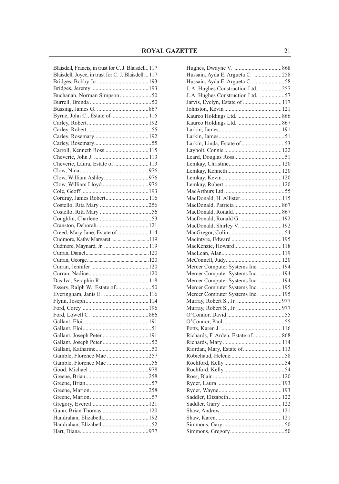| Blaisdell, Francis, in trust for C. J. Blaisdell 117 |  |
|------------------------------------------------------|--|
| Blaisdell, Joyce, in trust for C. J. Blaisdell  117  |  |
|                                                      |  |
|                                                      |  |
| Buchanan, Norman Simpson50                           |  |
|                                                      |  |
|                                                      |  |
| Byrne, John C., Estate of  115                       |  |
|                                                      |  |
|                                                      |  |
|                                                      |  |
|                                                      |  |
| Carroll, Kenneth Ross  115                           |  |
|                                                      |  |
| Cheverie, Laura, Estate of  113                      |  |
|                                                      |  |
|                                                      |  |
|                                                      |  |
|                                                      |  |
|                                                      |  |
|                                                      |  |
|                                                      |  |
|                                                      |  |
|                                                      |  |
|                                                      |  |
| Creed, Mary Jane, Estate of 114                      |  |
| Cudmore, Kathy Margaret 119                          |  |
|                                                      |  |
|                                                      |  |
|                                                      |  |
|                                                      |  |
|                                                      |  |
|                                                      |  |
|                                                      |  |
|                                                      |  |
|                                                      |  |
|                                                      |  |
|                                                      |  |
|                                                      |  |
|                                                      |  |
|                                                      |  |
|                                                      |  |
|                                                      |  |
| Gamble, Florence Mae 257                             |  |
|                                                      |  |
|                                                      |  |
|                                                      |  |
|                                                      |  |
|                                                      |  |
|                                                      |  |
|                                                      |  |
|                                                      |  |
|                                                      |  |
|                                                      |  |
|                                                      |  |

| Hussain, Ayda E. Argueta C. 258    |  |
|------------------------------------|--|
| Hussain, Ayda E. Argueta C. 58     |  |
| J. A. Hughes Construction Ltd. 257 |  |
| J. A. Hughes Construction Ltd. 57  |  |
| Jarvis, Evelyn, Estate of  117     |  |
|                                    |  |
|                                    |  |
|                                    |  |
|                                    |  |
|                                    |  |
|                                    |  |
|                                    |  |
|                                    |  |
|                                    |  |
|                                    |  |
|                                    |  |
|                                    |  |
|                                    |  |
|                                    |  |
| MacDonald, H. Allister 115         |  |
|                                    |  |
|                                    |  |
| MacDonald, Ronald G.  192          |  |
| MacDonald, Shirley V. 192          |  |
|                                    |  |
|                                    |  |
| MacKenzie, Howard 118              |  |
|                                    |  |
|                                    |  |
| Mercer Computer Systems Inc.  194  |  |
| Mercer Computer Systems Inc.  194  |  |
| Mercer Computer Systems Inc.  194  |  |
| Mercer Computer Systems Inc.  195  |  |
| Mercer Computer Systems Inc.  195  |  |
|                                    |  |
|                                    |  |
|                                    |  |
|                                    |  |
|                                    |  |
| Richards, F. Arden, Estate of 868  |  |
|                                    |  |
|                                    |  |
|                                    |  |
|                                    |  |
|                                    |  |
|                                    |  |
|                                    |  |
|                                    |  |
|                                    |  |
|                                    |  |
|                                    |  |
|                                    |  |
|                                    |  |
|                                    |  |
|                                    |  |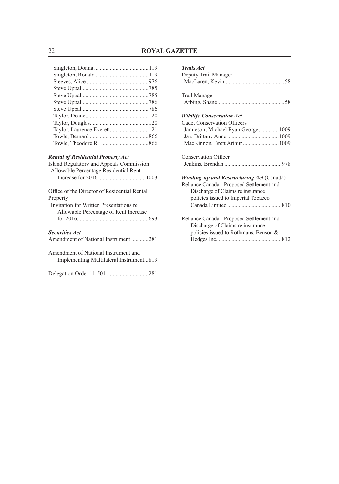### *Rental of Residential Property Act*

| Island Regulatory and Appeals Commission<br>Allowable Percentage Residential Rent |  |  |  |
|-----------------------------------------------------------------------------------|--|--|--|
|                                                                                   |  |  |  |
| Office of the Director of Residential Rental<br>Property                          |  |  |  |
| Invitation for Written Presentations re                                           |  |  |  |
| Allowable Percentage of Rent Increase                                             |  |  |  |
|                                                                                   |  |  |  |
| <b>Securities Act</b><br>Amendment of National Instrument 281                     |  |  |  |
|                                                                                   |  |  |  |
| Amendment of National Instrument and<br>Implementing Multilateral Instrument819   |  |  |  |

|--|--|

### *Trails Act*

| Deputy Trail Manager                             |
|--------------------------------------------------|
|                                                  |
| Trail Manager                                    |
|                                                  |
| <b>Wildlife Conservation Act</b>                 |
| <b>Cadet Conservation Officers</b>               |
| Jamieson, Michael Ryan George 1009               |
|                                                  |
|                                                  |
| <b>Conservation Officer</b>                      |
|                                                  |
| <b>Winding-up and Restructuring Act (Canada)</b> |
| Reliance Canada - Proposed Settlement and        |
| Discharge of Claims re insurance                 |
| policies issued to Imperial Tobacco              |
|                                                  |
| Reliance Canada - Proposed Settlement and        |
| Discharge of Claims re insurance                 |
| policies issued to Rothmans, Benson &            |
|                                                  |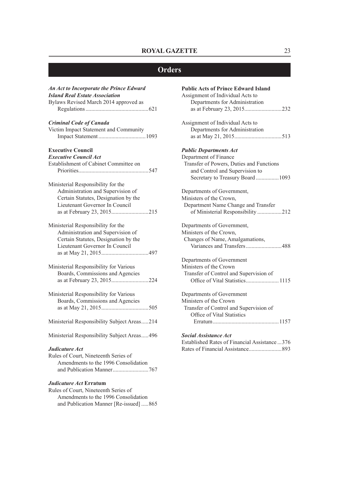### **Orders**

| An Act to Incorporate the Prince Edward     | <b>Public Acts of Prince Edward Island</b>                         |
|---------------------------------------------|--------------------------------------------------------------------|
| <b>Island Real Estate Association</b>       | Assignment of Individual Acts to                                   |
| Bylaws Revised March 2014 approved as       | Departments for Administration                                     |
|                                             | as at February 23, 2015232                                         |
| <b>Criminal Code of Canada</b>              | Assignment of Individual Acts to                                   |
| Victim Impact Statement and Community       | Departments for Administration                                     |
|                                             |                                                                    |
| <b>Executive Council</b>                    | <b>Public Departments Act</b>                                      |
| <b>Executive Council Act</b>                | Department of Finance                                              |
| Establishment of Cabinet Committee on       | Transfer of Powers, Duties and Functions                           |
|                                             | and Control and Supervision to<br>Secretary to Treasury Board 1093 |
| Ministerial Responsibility for the          |                                                                    |
| Administration and Supervision of           | Departments of Government,                                         |
| Certain Statutes, Designation by the        | Ministers of the Crown,                                            |
| Lieutenant Governor In Council              | Department Name Change and Transfer                                |
| as at February 23, 2015215                  | of Ministerial Responsibility 212                                  |
| Ministerial Responsibility for the          | Departments of Government,                                         |
| Administration and Supervision of           | Ministers of the Crown,                                            |
| Certain Statutes, Designation by the        | Changes of Name, Amalgamations,                                    |
| Lieutenant Governor In Council              | Variances and Transfers488                                         |
|                                             |                                                                    |
|                                             | Departments of Government                                          |
| Ministerial Responsibility for Various      | Ministers of the Crown                                             |
| Boards, Commissions and Agencies            | Transfer of Control and Supervision of                             |
| as at February 23, 2015224                  |                                                                    |
| Ministerial Responsibility for Various      | Departments of Government                                          |
| Boards, Commissions and Agencies            | Ministers of the Crown                                             |
|                                             | Transfer of Control and Supervision of                             |
|                                             | Office of Vital Statistics                                         |
| Ministerial Responsibility Subject Areas214 |                                                                    |
| Ministerial Responsibility Subject Areas496 | <b>Social Assistance Act</b>                                       |
|                                             | Established Rates of Financial Assistance  376                     |
| Judicature Act                              |                                                                    |
| Rules of Court, Nineteenth Series of        |                                                                    |
| Amendments to the 1996 Consolidation        |                                                                    |
|                                             |                                                                    |
| Judicature Act Erratum                      |                                                                    |
| Rules of Court, Nineteenth Series of        |                                                                    |
| Amendments to the 1996 Consolidation        |                                                                    |

and Publication Manner [Re-issued] .....865

| Departments for Administration           |
|------------------------------------------|
|                                          |
| <b>Public Departments Act</b>            |
| Department of Finance                    |
| Transfer of Powers, Duties and Functions |
| and Control and Supervision to           |
| Secretary to Treasury Board 1093         |
| Departments of Government,               |
| Ministers of the Crown,                  |
| Department Name Change and Transfer      |
| of Ministerial Responsibility 212        |
| Departments of Government,               |
| Ministers of the Crown,                  |
| Changes of Name, Amalgamations,          |
| Variances and Transfers488               |
| Departments of Government                |
| Ministers of the Crown                   |
| Transfer of Control and Supervision of   |
| Office of Vital Statistics 1115          |
| Departments of Government                |
| Ministers of the Crown                   |
| Transfer of Control and Supervision of   |
| Office of Vital Statistics               |

| эосии дээнжигс да                             |  |
|-----------------------------------------------|--|
| Established Rates of Financial Assistance 376 |  |
|                                               |  |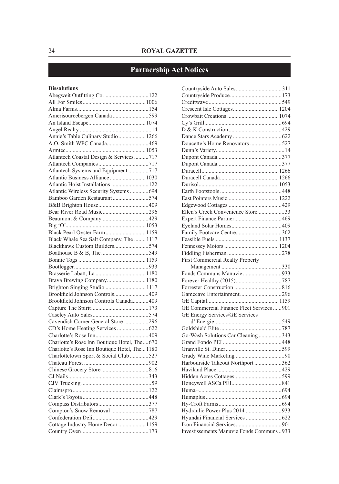## **Partnership Act Notices**

### **Dissolutions**

| Abegweit Outfitting Co. 122                   |  |
|-----------------------------------------------|--|
|                                               |  |
|                                               |  |
| Amerisourcebergen Canada599                   |  |
|                                               |  |
|                                               |  |
| Annie's Table Culinary Studio1266             |  |
|                                               |  |
|                                               |  |
| Atlantech Coastal Design & Services717        |  |
|                                               |  |
| Atlantech Systems and Equipment 717           |  |
| Atlantic Business Alliance  1030              |  |
| Atlantic Hoist Installations  122             |  |
| Atlantic Wireless Security Systems  694       |  |
| Bamboo Garden Restaurant574                   |  |
|                                               |  |
|                                               |  |
|                                               |  |
|                                               |  |
| Black Pearl Oyster Farm 1159                  |  |
| Black Whale Sea Salt Company, The  1117       |  |
| Blackhawk Custom Builders574                  |  |
|                                               |  |
|                                               |  |
|                                               |  |
|                                               |  |
| Brava Brewing Company 1180                    |  |
| Brighton Singing Studio  1117                 |  |
| Brookfield Johnson Controls409                |  |
| Brookfield Johnson Controls Canada 409        |  |
|                                               |  |
|                                               |  |
| Cavendish Corner General Store 296            |  |
|                                               |  |
|                                               |  |
|                                               |  |
| Charlotte's Rose Inn Boutique Hotel, The670   |  |
| Charlotte's Rose Inn Boutique Hotel, The 1180 |  |
| Charlottetown Sport & Social Club527          |  |
|                                               |  |
|                                               |  |
|                                               |  |
|                                               |  |
|                                               |  |
|                                               |  |
|                                               |  |
|                                               |  |
|                                               |  |
| Cottage Industry Home Decor  1159             |  |
|                                               |  |

| Doucette's Home Renovators 527                  |  |
|-------------------------------------------------|--|
|                                                 |  |
|                                                 |  |
|                                                 |  |
|                                                 |  |
|                                                 |  |
|                                                 |  |
|                                                 |  |
|                                                 |  |
|                                                 |  |
|                                                 |  |
| Ellen's Creek Convenience Store33               |  |
|                                                 |  |
|                                                 |  |
| Family Footcare Centre362                       |  |
|                                                 |  |
|                                                 |  |
|                                                 |  |
| First Commercial Realty Property                |  |
|                                                 |  |
|                                                 |  |
| Fonds Communs Manuvie 933                       |  |
|                                                 |  |
|                                                 |  |
|                                                 |  |
| Gamecave Entertainment296                       |  |
|                                                 |  |
| GE Commercial Finance Fleet Services 901        |  |
| GE Energy Services/GE Services                  |  |
|                                                 |  |
|                                                 |  |
| Go-Wash Solutions Car Cleaning 343              |  |
|                                                 |  |
|                                                 |  |
|                                                 |  |
| Harbourside Takeout Northport 362               |  |
|                                                 |  |
|                                                 |  |
|                                                 |  |
|                                                 |  |
|                                                 |  |
|                                                 |  |
| Hydraulic Power Plus 2014 933                   |  |
|                                                 |  |
| <b>Investissements Manuvie Fonds Communs933</b> |  |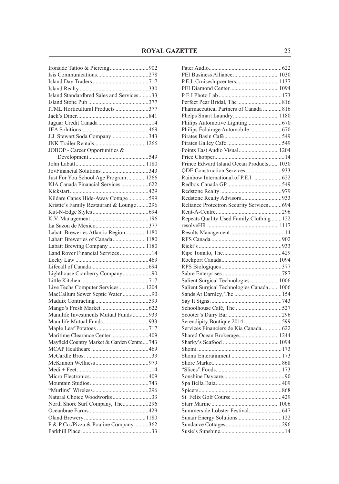| Island Standardbred Sales and Services33   |  |
|--------------------------------------------|--|
|                                            |  |
| ITML Horticultural Products 377            |  |
|                                            |  |
|                                            |  |
|                                            |  |
| J.J. Stewart Soda Company343               |  |
|                                            |  |
| JOBOP - Career Opportunities &             |  |
|                                            |  |
|                                            |  |
|                                            |  |
| Just For You School Age Program  1266      |  |
| KIA Canada Financial Services  622         |  |
|                                            |  |
| Kildare Capes Hide-Away Cottage599         |  |
| Kristie's Family Restaurant & Lounge 296   |  |
|                                            |  |
|                                            |  |
|                                            |  |
| Labatt Breweries Atlantic Region 1180      |  |
| Labatt Breweries of Canada1180             |  |
| Labatt Brewing Company 1180                |  |
| Land Rover Financial Services  14          |  |
|                                            |  |
|                                            |  |
| Lighthouse Cranberry Company90             |  |
|                                            |  |
| Live Techs Computer Services  1204         |  |
| MacCallum Sewer Septic Water 90            |  |
|                                            |  |
|                                            |  |
| Manulife Investments Mutual Funds 933      |  |
|                                            |  |
|                                            |  |
| Maritime Clearance Center409               |  |
| Mayfield Country Market & Garden Centre743 |  |
|                                            |  |
|                                            |  |
|                                            |  |
|                                            |  |
|                                            |  |
|                                            |  |
|                                            |  |
| Natural Choice Woodworks33                 |  |
|                                            |  |
| North Shore Surf Company, The296           |  |
|                                            |  |
| P & P Co./Pizza & Poutine Company362       |  |
|                                            |  |
|                                            |  |

| P.E.I. Cruiseshipcenters 1137              |  |
|--------------------------------------------|--|
|                                            |  |
|                                            |  |
|                                            |  |
| Pharmaceutical Partners of Canada 816      |  |
|                                            |  |
|                                            |  |
| Philips Éclairage Automobile  670          |  |
|                                            |  |
|                                            |  |
| Points East Audio Visual 1204              |  |
|                                            |  |
| Prince Edward Island Ocean Products 1030   |  |
| QDE Construction Services933               |  |
| Rainbow International of P.E.I. 622        |  |
|                                            |  |
|                                            |  |
|                                            |  |
| Redstone Realty Advisors933                |  |
| Reliance Protectron Security Services 694  |  |
|                                            |  |
| Repeats Quality Used Family Clothing  122  |  |
|                                            |  |
|                                            |  |
|                                            |  |
|                                            |  |
|                                            |  |
|                                            |  |
|                                            |  |
|                                            |  |
| Salient Surgical Technologies 1006         |  |
| Salient Surgical Technologies Canada  1006 |  |
|                                            |  |
|                                            |  |
|                                            |  |
|                                            |  |
| Serendipity Boutique 2014 599              |  |
| Services Financiers de Kia Canada 622      |  |
| Shared Ocean Brokerage 1244                |  |
|                                            |  |
|                                            |  |
|                                            |  |
|                                            |  |
|                                            |  |
|                                            |  |
|                                            |  |
|                                            |  |
|                                            |  |
|                                            |  |
|                                            |  |
|                                            |  |
|                                            |  |
|                                            |  |
|                                            |  |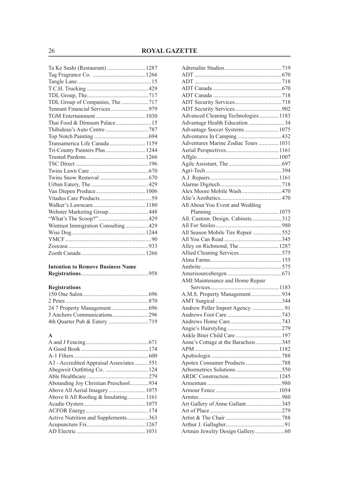| Ta Ke Sushi (Restaurant)  1287     |  |
|------------------------------------|--|
|                                    |  |
|                                    |  |
|                                    |  |
|                                    |  |
| TDL Group of Companies, The 717    |  |
|                                    |  |
|                                    |  |
|                                    |  |
|                                    |  |
|                                    |  |
| Transamerica Life Canada  1159     |  |
| Tri-County Painters Plus 1244      |  |
|                                    |  |
|                                    |  |
|                                    |  |
|                                    |  |
|                                    |  |
|                                    |  |
|                                    |  |
|                                    |  |
| Webster Marketing Group448         |  |
|                                    |  |
| Wintrust Immigration Consulting429 |  |
|                                    |  |
|                                    |  |
|                                    |  |
|                                    |  |
|                                    |  |

### **Intention to Remove Business Name**

|--|--|--|--|--|

### **Registrations**

### **A**

| A3 - Accredited Appraisal Associates551 |  |
|-----------------------------------------|--|
|                                         |  |
|                                         |  |
| Abounding Joy Christian Preschool934    |  |
|                                         |  |
| Above It All Roofing & Insulating 1161  |  |
|                                         |  |
|                                         |  |
| Active Nutrition and Supplements363     |  |
|                                         |  |
|                                         |  |
|                                         |  |

| Advanced Cleaning Technologies 1183  |  |
|--------------------------------------|--|
| Advantage Health Education 34        |  |
| Advantage Soccer Systems1075         |  |
| Adventures In Camping432             |  |
| Adventures Marine Zodiac Tours  1031 |  |
|                                      |  |
|                                      |  |
|                                      |  |
|                                      |  |
|                                      |  |
|                                      |  |
| Alex Moore Mobile Wash470            |  |
|                                      |  |
| All About You Event and Wedding      |  |
|                                      |  |
| All. Custom. Design. Cabinets312     |  |
|                                      |  |
| All Season Mobile Tire Repair 552    |  |
|                                      |  |
| Alley on Richmond, The1287           |  |
| Allied Cleaning Services575          |  |
|                                      |  |
|                                      |  |
|                                      |  |
| AMI Maintenance and Home Repair      |  |
|                                      |  |
| A.M.S. Property Management 934       |  |
|                                      |  |
| Andrew Peller Import Agency 91       |  |
|                                      |  |
|                                      |  |
|                                      |  |
|                                      |  |
| Anne's Cottage at the Barachois345   |  |
|                                      |  |
|                                      |  |
|                                      |  |
|                                      |  |
|                                      |  |
|                                      |  |
|                                      |  |
|                                      |  |
| Art Gallery of Anne Gallant345       |  |
|                                      |  |
|                                      |  |
|                                      |  |
|                                      |  |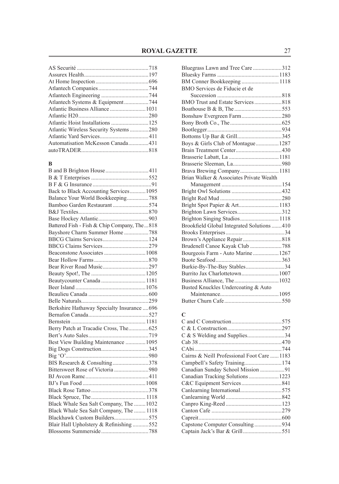| Atlantic Business Alliance 1031       |  |
|---------------------------------------|--|
|                                       |  |
|                                       |  |
| Atlantic Wireless Security Systems280 |  |
|                                       |  |
| Automatisation McKesson Canada431     |  |
|                                       |  |
|                                       |  |

### **B**

| B and B Brighton House  411                 |  |
|---------------------------------------------|--|
|                                             |  |
|                                             |  |
| Back to Black Accounting Services 1095      |  |
| Balance Your World Bookkeeping788           |  |
| Bamboo Garden Restaurant574                 |  |
|                                             |  |
|                                             |  |
| Battered Fish - Fish & Chip Company, The818 |  |
| Bayshore Charm Summer Home788               |  |
| BBCG Claims Services 124                    |  |
| BBCG Claims Services279                     |  |
| Beaconstone Associates  1008                |  |
|                                             |  |
|                                             |  |
|                                             |  |
| Beautycounter Canada  1181                  |  |
|                                             |  |
|                                             |  |
|                                             |  |
| Berkshire Hathaway Specialty Insurance  696 |  |
|                                             |  |
|                                             |  |
| Berry Patch at Tracadie Cross, The625       |  |
|                                             |  |
| Best View Building Maintenance  1095        |  |
|                                             |  |
|                                             |  |
| BIS Research & Consulting378                |  |
| Bittersweet Rose of Victoria 980            |  |
|                                             |  |
|                                             |  |
|                                             |  |
|                                             |  |
| Black Whale Sea Salt Company, The  1032     |  |
| Black Whale Sea Salt Company, The  1118     |  |
| Blackhawk Custom Builders575                |  |
| Blair Hall Upholstery & Refinishing 552     |  |
|                                             |  |

| Bluegrass Lawn and Tree Care 312           |  |
|--------------------------------------------|--|
|                                            |  |
|                                            |  |
| BMO Services de Fiducie et de              |  |
|                                            |  |
| BMO Trust and Estate Services 818          |  |
|                                            |  |
| Bonshaw Evergreen Farm280                  |  |
|                                            |  |
|                                            |  |
| Bottoms Up Bar & Grill345                  |  |
| Boys & Girls Club of Montague 1287         |  |
|                                            |  |
|                                            |  |
|                                            |  |
|                                            |  |
| Brian Walker & Associates Private Wealth   |  |
|                                            |  |
|                                            |  |
|                                            |  |
| Bright Spot Papier & Art1183               |  |
|                                            |  |
| Brighton Singing Studios 1118              |  |
| Brookfield Global Integrated Solutions 410 |  |
|                                            |  |
|                                            |  |
| Brudenell Canoe Kayak Club 788             |  |
| Bourgeois Farm - Auto Marine 1267          |  |
|                                            |  |
| Burkie-By-The-Bay Stables34                |  |
| Burrito Jax Charlottetown 1007             |  |
|                                            |  |
| Busted Knuckles Undercoating & Auto        |  |
|                                            |  |
|                                            |  |
|                                            |  |

### **C**

| Cairns & Neill Professional Foot Care  1183 |  |
|---------------------------------------------|--|
|                                             |  |
|                                             |  |
|                                             |  |
|                                             |  |
|                                             |  |
|                                             |  |
|                                             |  |
|                                             |  |
|                                             |  |
|                                             |  |
|                                             |  |
|                                             |  |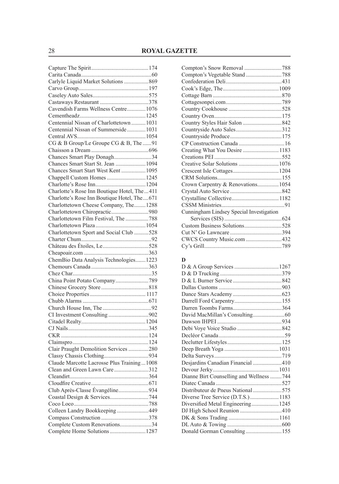| Carlyle Liquid Market Solutions 869         |  |
|---------------------------------------------|--|
|                                             |  |
|                                             |  |
|                                             |  |
| Cavendish Farms Wellness Centre 1076        |  |
|                                             |  |
| Centennial Nissan of Charlottetown 1031     |  |
| Centennial Nissan of Summerside 1031        |  |
|                                             |  |
| CG & B Group/Le Groupe CG & B, The 91       |  |
|                                             |  |
| Chances Smart Play Donagh34                 |  |
| Chances Smart Start St. Jean  1094          |  |
| Chances Smart Start West Kent  1095         |  |
| Chappell Custom Homes  1245                 |  |
|                                             |  |
| Charlotte's Rose Inn Boutique Hotel, The411 |  |
| Charlotte's Rose Inn Boutique Hotel, The671 |  |
| Charlottetown Cheese Company, The 1288      |  |
| Charlottetown Chiropractic980               |  |
| Charlottetown Film Festival, The 788        |  |
|                                             |  |
| Charlottetown Sport and Social Club 528     |  |
|                                             |  |
|                                             |  |
|                                             |  |
| ChemBio Data Analysis Technologies 1223     |  |
|                                             |  |
|                                             |  |
| China Point Potato Company789               |  |
|                                             |  |
|                                             |  |
|                                             |  |
|                                             |  |
|                                             |  |
|                                             |  |
|                                             |  |
|                                             |  |
|                                             |  |
| Clair Praught Demolition Services 280       |  |
|                                             |  |
| Claude Marcotte Lacrosse Plus Training1008  |  |
| Clean and Green Lawn Care312                |  |
|                                             |  |
|                                             |  |
| Club Après-Classe Évangéline934             |  |
|                                             |  |
|                                             |  |
| Colleen Landry Bookkeeping 449              |  |
|                                             |  |
| Complete Custom Renovations34               |  |
| Complete Home Solutions  1287               |  |
|                                             |  |

| Compton's Vegetable Stand788             |  |
|------------------------------------------|--|
|                                          |  |
|                                          |  |
|                                          |  |
|                                          |  |
|                                          |  |
|                                          |  |
|                                          |  |
|                                          |  |
|                                          |  |
|                                          |  |
| Creating What You Desire  1183           |  |
|                                          |  |
| Creative Solar Solutions  1076           |  |
|                                          |  |
|                                          |  |
| Crown Carpentry & Renovations 1054       |  |
|                                          |  |
|                                          |  |
|                                          |  |
| Cunningham Lindsey Special Investigation |  |
|                                          |  |
|                                          |  |
|                                          |  |
| CWCS Country Music.com 432               |  |
|                                          |  |
|                                          |  |

### **D**

| Desjardins Canadian Financial 410        |  |
|------------------------------------------|--|
|                                          |  |
| Dianne Birt Counselling and Wellness 744 |  |
|                                          |  |
|                                          |  |
| Diverse Tree Service (D.T.S.)  1183      |  |
| Diversified Metal Engineering 1245       |  |
|                                          |  |
|                                          |  |
|                                          |  |
| Donald Gorman Consulting155              |  |
|                                          |  |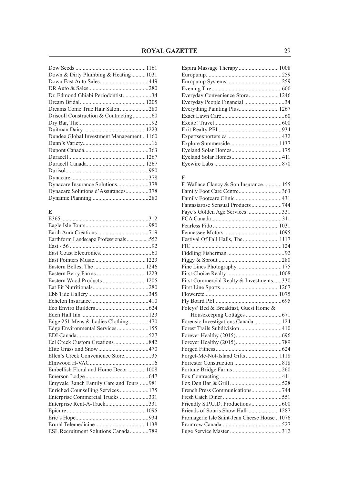| Down & Dirty Plumbing & Heating1031     |  |
|-----------------------------------------|--|
|                                         |  |
|                                         |  |
| Dr. Edmond Ghiabi Periodontist34        |  |
|                                         |  |
|                                         |  |
|                                         |  |
|                                         |  |
|                                         |  |
| Dundee Global Investment Management1160 |  |
|                                         |  |
|                                         |  |
|                                         |  |
|                                         |  |
|                                         |  |
|                                         |  |
|                                         |  |
| Dynacare Solutions d'Assurances378      |  |
|                                         |  |
|                                         |  |

## $\frac{E}{\Gamma}$

| Earthform Landscape Professionals 552   |  |
|-----------------------------------------|--|
|                                         |  |
|                                         |  |
|                                         |  |
|                                         |  |
|                                         |  |
| Eastern Wood Products  1205             |  |
|                                         |  |
|                                         |  |
|                                         |  |
|                                         |  |
|                                         |  |
| Edge 251 Mens & Ladies Clothing470      |  |
| Edge Environmental Services155          |  |
|                                         |  |
|                                         |  |
|                                         |  |
| Ellen's Creek Convenience Store35       |  |
|                                         |  |
| Embellish Floral and Home Decor  1008   |  |
|                                         |  |
| Emyvale Ranch Family Care and Tours 981 |  |
| Enriched Counselling Services175        |  |
| Enterprise Commercial Trucks 331        |  |
| Enterprise Rent-A-Truck331              |  |
|                                         |  |
|                                         |  |
|                                         |  |
| ESL Recruitment Solutions Canada789     |  |

### **F**

| F. Wallace Clancy & Son Insurance155          |  |
|-----------------------------------------------|--|
| Family Foot Care Centre363                    |  |
|                                               |  |
| Fantasiarose Sensual Products 744             |  |
|                                               |  |
|                                               |  |
|                                               |  |
|                                               |  |
| Festival Of Fall Halls, The 1117              |  |
|                                               |  |
|                                               |  |
|                                               |  |
| Fine Lines Photography175                     |  |
|                                               |  |
| First Commercial Realty & Investments330      |  |
|                                               |  |
|                                               |  |
|                                               |  |
| Foleys' Bed & Breakfast, Guest Home &         |  |
|                                               |  |
| Forensic Investigations Canada  124           |  |
| Forest Trails Subdivision 410                 |  |
|                                               |  |
|                                               |  |
|                                               |  |
| Forget-Me-Not-Island Gifts 1118               |  |
|                                               |  |
|                                               |  |
|                                               |  |
|                                               |  |
| French Press Communications744                |  |
|                                               |  |
|                                               |  |
| Friends of Souris Show Hall 1287              |  |
| Fromagerie Isle Saint-Jean Cheese House  1076 |  |
|                                               |  |
|                                               |  |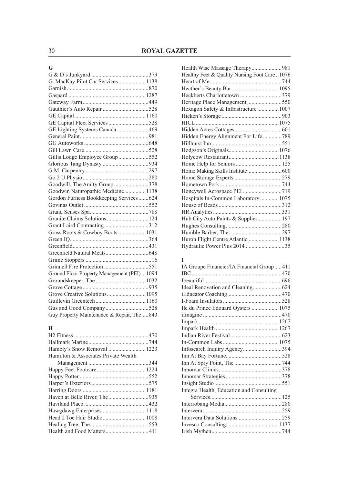### **G**

| G. MacKay Pilot Car Services  1138           |  |
|----------------------------------------------|--|
|                                              |  |
|                                              |  |
|                                              |  |
|                                              |  |
|                                              |  |
| GE Capital Fleet Services528                 |  |
| GE Lighting Systems Canada 469               |  |
|                                              |  |
|                                              |  |
|                                              |  |
| Gillis Lodge Employee Group552               |  |
|                                              |  |
|                                              |  |
|                                              |  |
| Goodwill, The Amity Group378                 |  |
| Goodwin Naturopathic Medicine 1138           |  |
| Gordon Furness Bookkeeping Services 624      |  |
|                                              |  |
|                                              |  |
|                                              |  |
| Grant Laird Contracting312                   |  |
| Grass Roots & Cowboy Boots  1031             |  |
|                                              |  |
|                                              |  |
|                                              |  |
|                                              |  |
|                                              |  |
| Ground Floor Property Management (PEI)  1094 |  |
|                                              |  |
|                                              |  |
|                                              |  |
|                                              |  |
|                                              |  |
| Guy Property Maintenance & Repair, The843    |  |

### **H**

| Hamilton & Associates Private Wealth |  |
|--------------------------------------|--|
|                                      |  |
|                                      |  |
|                                      |  |
|                                      |  |
|                                      |  |
|                                      |  |
|                                      |  |
|                                      |  |
|                                      |  |
|                                      |  |
|                                      |  |
|                                      |  |

| Healthy Feet & Quality Nursing Foot Care  1076 |  |
|------------------------------------------------|--|
|                                                |  |
|                                                |  |
| Heckberts Charlottetown 379                    |  |
|                                                |  |
| Hexagon Safety & Infrastructure 1007           |  |
|                                                |  |
|                                                |  |
|                                                |  |
| Hidden Energy Alignment For Life 789           |  |
|                                                |  |
|                                                |  |
|                                                |  |
|                                                |  |
|                                                |  |
|                                                |  |
|                                                |  |
|                                                |  |
| Hospitals In-Common Laboratory  1075           |  |
|                                                |  |
|                                                |  |
|                                                |  |
|                                                |  |
|                                                |  |
| Huron Flight Centre Atlantic  1138             |  |
| Hydraulic Power Plus 2014 35                   |  |

### **I**

| IA Groupe Financier/IA Financial Group411 |
|-------------------------------------------|
|                                           |
|                                           |
|                                           |
|                                           |
|                                           |
|                                           |
|                                           |
|                                           |
|                                           |
|                                           |
|                                           |
| Infosearch Inquiry Agency394              |
|                                           |
|                                           |
|                                           |
|                                           |
|                                           |
|                                           |
|                                           |
|                                           |
|                                           |
|                                           |
|                                           |
|                                           |
|                                           |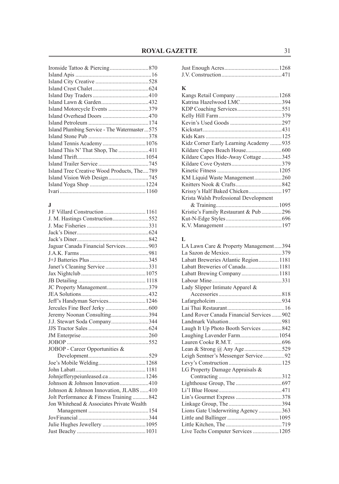| Island Motorcycle Events 379                 |
|----------------------------------------------|
|                                              |
|                                              |
| Island Plumbing Service - The Watermaster575 |
|                                              |
|                                              |
|                                              |
|                                              |
|                                              |
| Island Tree Creative Wood Products, The789   |
|                                              |
|                                              |
|                                              |
|                                              |

#### **J**

| J. M. Hastings Construction552            |  |
|-------------------------------------------|--|
|                                           |  |
|                                           |  |
|                                           |  |
| Jaguar Canada Financial Services903       |  |
|                                           |  |
|                                           |  |
| Janet's Cleaning Service 331              |  |
|                                           |  |
|                                           |  |
| JC Property Management379                 |  |
|                                           |  |
| Jeff's Handyman Services 1246             |  |
|                                           |  |
| Jeremy Noonan Consulting394               |  |
| J.J. Stewart Soda Company344              |  |
|                                           |  |
|                                           |  |
|                                           |  |
| JOBOP - Career Opportunities &            |  |
|                                           |  |
|                                           |  |
|                                           |  |
| Johnjefferypeiunleased.ca 1246            |  |
| Johnson & Johnson Innovation410           |  |
| Johnson & Johnson Innovation, JLABS  410  |  |
| Jolt Performance & Fitness Training842    |  |
| Jon Whitehead & Associates Private Wealth |  |
|                                           |  |
|                                           |  |
| Julie Hughes Jewellery  1095              |  |
|                                           |  |
|                                           |  |

### Just Enough Acres......................................1268 J.V. Construction..........................................471

### **K**

| Katrina Hazelwood LMC394               |  |
|----------------------------------------|--|
|                                        |  |
|                                        |  |
|                                        |  |
|                                        |  |
|                                        |  |
| Kidz Corner Early Learning Academy 935 |  |
|                                        |  |
| Kildare Capes Hide-Away Cottage345     |  |
|                                        |  |
|                                        |  |
|                                        |  |
|                                        |  |
|                                        |  |
| Krista Walsh Professional Development  |  |
|                                        |  |
| Kristie's Family Restaurant & Pub 296  |  |
|                                        |  |
|                                        |  |

### **L**

| LA Lawn Care & Property Management394   |  |
|-----------------------------------------|--|
|                                         |  |
| Labatt Breweries Atlantic Region 1181   |  |
| Labatt Breweries of Canada 1181         |  |
|                                         |  |
|                                         |  |
| Lady Slipper Intimate Apparel &         |  |
|                                         |  |
|                                         |  |
|                                         |  |
| Land Rover Canada Financial Services902 |  |
|                                         |  |
| Laugh It Up Photo Booth Services 842    |  |
| Laughing Lavender Farm 1054             |  |
|                                         |  |
| Lean & Strong @ Any Age529              |  |
| Leigh Sentner's Messenger Service92     |  |
|                                         |  |
| LG Property Damage Appraisals &         |  |
|                                         |  |
|                                         |  |
|                                         |  |
|                                         |  |
|                                         |  |
| Lions Gate Underwriting Agency 363      |  |
|                                         |  |
|                                         |  |
| Live Techs Computer Services  1205      |  |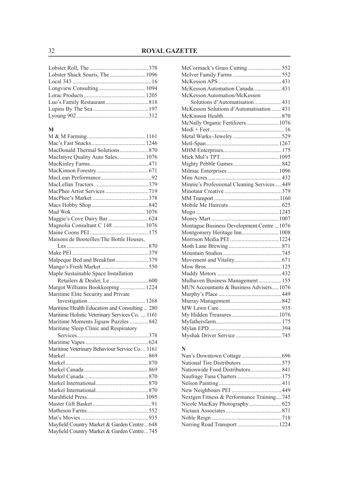### **M**

| MacIntyre Quality Auto Sales 1076               |  |
|-------------------------------------------------|--|
|                                                 |  |
|                                                 |  |
|                                                 |  |
|                                                 |  |
|                                                 |  |
|                                                 |  |
|                                                 |  |
|                                                 |  |
|                                                 |  |
| Magnolia Consultant C 148  1076                 |  |
|                                                 |  |
| Maisons de Booteilles/The Bottle Houses,        |  |
|                                                 |  |
|                                                 |  |
| Malpeque Bed and Breakfast379                   |  |
|                                                 |  |
| Maple Sustainable Space Installation            |  |
|                                                 |  |
| Margot Williams Bookkeeping 1224                |  |
| Maritime Elite Security and Private             |  |
|                                                 |  |
| Maritime Health Education and Consulting  280   |  |
| Maritime Holistic Veterinary Services Co.  1161 |  |
| Maritime Moments Jigsaw Puzzles 842             |  |
| Maritime Sleep Clinic and Respiratory           |  |
|                                                 |  |
|                                                 |  |
| Maritime Veterinary Behaviour Service Co.  1161 |  |
|                                                 |  |
|                                                 |  |
|                                                 |  |
|                                                 |  |
|                                                 |  |
|                                                 |  |
|                                                 |  |
|                                                 |  |
|                                                 |  |
|                                                 |  |
| Mayfield Country Market & Garden Centre648      |  |
| Mayfield Country Market & Garden Centre745      |  |
|                                                 |  |

| McCormack's Grass Cutting552               |  |
|--------------------------------------------|--|
|                                            |  |
|                                            |  |
| McKesson Automation Canada431              |  |
| McKesson Automation/McKesson               |  |
| Solutions d'Automatisation 431             |  |
| McKesson Solutions d'Automatisation  431   |  |
|                                            |  |
| McNally Organic Fertilizers 1076           |  |
|                                            |  |
|                                            |  |
|                                            |  |
|                                            |  |
|                                            |  |
|                                            |  |
|                                            |  |
|                                            |  |
| Minnie's Professional Cleaning Services449 |  |
|                                            |  |
|                                            |  |
|                                            |  |
|                                            |  |
|                                            |  |
| Montague Business Development Centre  1076 |  |
| Montgomery Heritage Inn 1008               |  |
|                                            |  |
|                                            |  |
|                                            |  |
|                                            |  |
|                                            |  |
|                                            |  |
| Mulhaven Business Management155            |  |
| MUN Accountants & Business Advisers1076    |  |
|                                            |  |
|                                            |  |
|                                            |  |
|                                            |  |
|                                            |  |
|                                            |  |
|                                            |  |
|                                            |  |

### **N**

| Nextgen Fitness & Performance Training745 |  |
|-------------------------------------------|--|
|                                           |  |
|                                           |  |
|                                           |  |
| Norring Road Transport 1224               |  |
|                                           |  |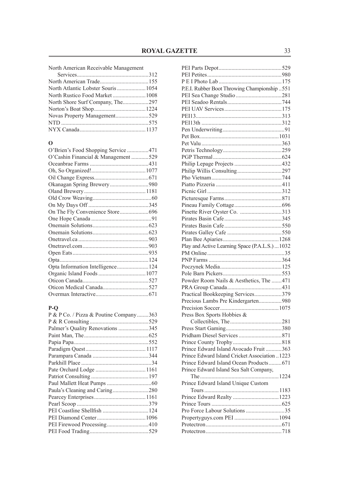| North American Receivable Management |  |  |
|--------------------------------------|--|--|
|--------------------------------------|--|--|

| North Atlantic Lobster Souris  1054 |  |
|-------------------------------------|--|
|                                     |  |
| North Shore Surf Company, The297    |  |
|                                     |  |
|                                     |  |
|                                     |  |
|                                     |  |

### **O**

| O'Cashin Financial & Management 529 |  |
|-------------------------------------|--|
|                                     |  |
|                                     |  |
|                                     |  |
|                                     |  |
|                                     |  |
|                                     |  |
|                                     |  |
|                                     |  |
|                                     |  |
|                                     |  |
|                                     |  |
|                                     |  |
|                                     |  |
|                                     |  |
|                                     |  |
|                                     |  |
|                                     |  |
|                                     |  |
|                                     |  |
|                                     |  |

### **P-Q**

| P & P Co. / Pizza & Poutine Company363 |  |
|----------------------------------------|--|
|                                        |  |
| Palmer's Quality Renovations 345       |  |
|                                        |  |
|                                        |  |
|                                        |  |
|                                        |  |
|                                        |  |
|                                        |  |
|                                        |  |
|                                        |  |
| Paula's Cleaning and Caring280         |  |
|                                        |  |
|                                        |  |
|                                        |  |
|                                        |  |
|                                        |  |
|                                        |  |

| P.E.I. Rubber Boot Throwing Championship  551   |  |
|-------------------------------------------------|--|
|                                                 |  |
|                                                 |  |
|                                                 |  |
|                                                 |  |
|                                                 |  |
|                                                 |  |
|                                                 |  |
|                                                 |  |
|                                                 |  |
|                                                 |  |
|                                                 |  |
|                                                 |  |
|                                                 |  |
|                                                 |  |
|                                                 |  |
|                                                 |  |
|                                                 |  |
| Pinette River Oyster Co. 313                    |  |
|                                                 |  |
|                                                 |  |
|                                                 |  |
|                                                 |  |
| Play and Active Learning Space (P.A.L.S.)  1032 |  |
|                                                 |  |
|                                                 |  |
|                                                 |  |
|                                                 |  |
| Powder Room Nails & Aesthetics, The 471         |  |
|                                                 |  |
| Practical Bookkeeping Services379               |  |
| Precious Lambs Pre Kindergarten980              |  |
|                                                 |  |
|                                                 |  |
| Press Box Sports Hobbies &                      |  |
|                                                 |  |
|                                                 |  |
|                                                 |  |
|                                                 |  |
| Prince Edward Island Avocado Fruit 363          |  |
| Prince Edward Island Cricket Association 1223   |  |
| Prince Edward Island Ocean Products671          |  |
| Prince Edward Island Sea Salt Company,          |  |
|                                                 |  |
| Prince Edward Island Unique Custom              |  |
|                                                 |  |
|                                                 |  |
|                                                 |  |
| Pro Force Labour Solutions 35                   |  |
|                                                 |  |
|                                                 |  |
|                                                 |  |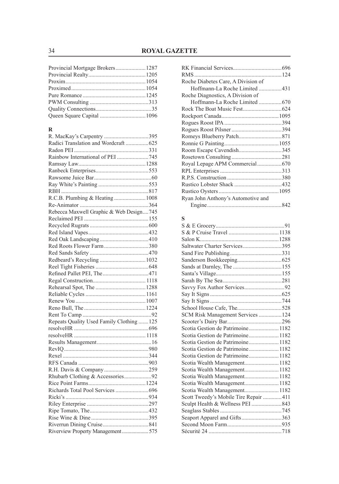| Queen Square Capital  1096 |  |
|----------------------------|--|

### **R**

| R. MacKay's Carpentry 395                 |  |
|-------------------------------------------|--|
| Radici Translation and Wordcraft625       |  |
|                                           |  |
| Rainbow International of PEI 745          |  |
|                                           |  |
|                                           |  |
|                                           |  |
|                                           |  |
|                                           |  |
| R.C.B. Plumbing & Heating  1008           |  |
|                                           |  |
| Rebecca Maxwell Graphic & Web Design745   |  |
|                                           |  |
|                                           |  |
|                                           |  |
|                                           |  |
| Red Roots Flower Farm380                  |  |
|                                           |  |
|                                           |  |
|                                           |  |
|                                           |  |
|                                           |  |
|                                           |  |
|                                           |  |
|                                           |  |
|                                           |  |
|                                           |  |
| Repeats Quality Used Family Clothing  125 |  |
|                                           |  |
|                                           |  |
|                                           |  |
|                                           |  |
|                                           |  |
|                                           |  |
|                                           |  |
| Rhubarb Clothing & Accessories92          |  |
|                                           |  |
|                                           |  |
|                                           |  |
|                                           |  |
|                                           |  |
|                                           |  |
|                                           |  |
| Riverview Property Management 575         |  |
|                                           |  |

| Roche Diabetes Care, A Division of |  |
|------------------------------------|--|
| Hoffmann-La Roche Limited 431      |  |
| Roche Diagnostics, A Division of   |  |
|                                    |  |
|                                    |  |
|                                    |  |
|                                    |  |
|                                    |  |
|                                    |  |
|                                    |  |
|                                    |  |
|                                    |  |
|                                    |  |
|                                    |  |
|                                    |  |
|                                    |  |
|                                    |  |
| Ryan John Anthony's Automotive and |  |
|                                    |  |

| S                                     |  |
|---------------------------------------|--|
|                                       |  |
|                                       |  |
|                                       |  |
| Saltwater Charter Services395         |  |
|                                       |  |
|                                       |  |
|                                       |  |
|                                       |  |
|                                       |  |
| Savvy Fox Author Services92           |  |
|                                       |  |
|                                       |  |
|                                       |  |
| SCM Risk Management Services  124     |  |
|                                       |  |
| Scotia Gestion de Patrimoine 1182     |  |
| Scotia Gestion de Patrimoine 1182     |  |
| Scotia Gestion de Patrimoine1182      |  |
| Scotia Gestion de Patrimoine 1182     |  |
| Scotia Gestion de Patrimoine 1182     |  |
| Scotia Wealth Management 1182         |  |
| Scotia Wealth Management 1182         |  |
| Scotia Wealth Management 1182         |  |
|                                       |  |
| Scotia Wealth Management 1182         |  |
| Scott Tweedy's Mobile Tire Repair 411 |  |
|                                       |  |
|                                       |  |
| Seaport Apparel and Gifts363          |  |
|                                       |  |
|                                       |  |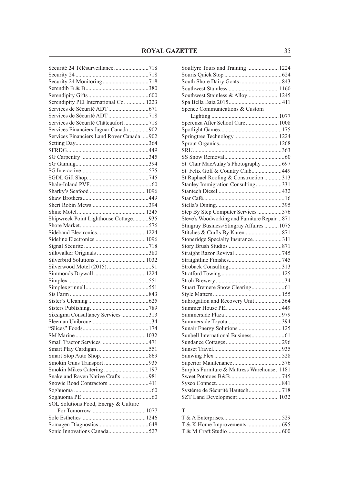| Sécurité 24 Télésurveillance 718           |  |
|--------------------------------------------|--|
|                                            |  |
|                                            |  |
|                                            |  |
|                                            |  |
| Serendipity PEI International Co.  1223    |  |
|                                            |  |
|                                            |  |
| Services de Sécurité Châteaufort718        |  |
| Services Financiers Jaguar Canada902       |  |
| Services Financiers Land Rover Canada  902 |  |
|                                            |  |
|                                            |  |
|                                            |  |
|                                            |  |
|                                            |  |
|                                            |  |
|                                            |  |
|                                            |  |
|                                            |  |
|                                            |  |
|                                            |  |
| Shipwreck Point Lighthouse Cottage935      |  |
|                                            |  |
|                                            |  |
|                                            |  |
|                                            |  |
|                                            |  |
|                                            |  |
|                                            |  |
|                                            |  |
|                                            |  |
|                                            |  |
|                                            |  |
|                                            |  |
|                                            |  |
| Sixsigma Consultancy Services313           |  |
|                                            |  |
|                                            |  |
|                                            |  |
|                                            |  |
|                                            |  |
|                                            |  |
|                                            |  |
| Smokin Mikes Catering  197                 |  |
| Snake and Raven Native Crafts 981          |  |
| Snowie Road Contractors  411               |  |
|                                            |  |
|                                            |  |
| SOL Solutions Food, Energy & Culture       |  |
|                                            |  |
|                                            |  |
|                                            |  |
| Sonic Innovations Canada527                |  |
|                                            |  |

| Soulfyre Tours and Training  1224                           |  |
|-------------------------------------------------------------|--|
|                                                             |  |
|                                                             |  |
|                                                             |  |
| Southwest Stainless & Alloy 1245                            |  |
|                                                             |  |
| Spence Communications & Custom                              |  |
|                                                             |  |
| Sperenza After School Care 1008                             |  |
|                                                             |  |
| Springtree Technology  1224                                 |  |
|                                                             |  |
|                                                             |  |
|                                                             |  |
| St. Clair MacAulay's Photography  697                       |  |
| St. Felix Golf & Country Club449                            |  |
| St Raphael Roofing & Construction 313                       |  |
| Stanley Immigration Consulting331                           |  |
|                                                             |  |
|                                                             |  |
|                                                             |  |
| Step By Step Computer Services576                           |  |
| Steve's Woodworking and Furniture Repair  871               |  |
| Stingray Business/Stingray Affaires  1075                   |  |
|                                                             |  |
|                                                             |  |
|                                                             |  |
| Stoneridge Specialty Insurance311                           |  |
|                                                             |  |
|                                                             |  |
|                                                             |  |
|                                                             |  |
|                                                             |  |
|                                                             |  |
|                                                             |  |
|                                                             |  |
| Subrogation and Recovery Unit364                            |  |
|                                                             |  |
|                                                             |  |
|                                                             |  |
|                                                             |  |
|                                                             |  |
|                                                             |  |
|                                                             |  |
|                                                             |  |
|                                                             |  |
| Surplus Furniture & Mattress Warehouse1181                  |  |
|                                                             |  |
|                                                             |  |
| Systéme de Sécurité Hautech718<br>SZT Land Development 1032 |  |

### **T**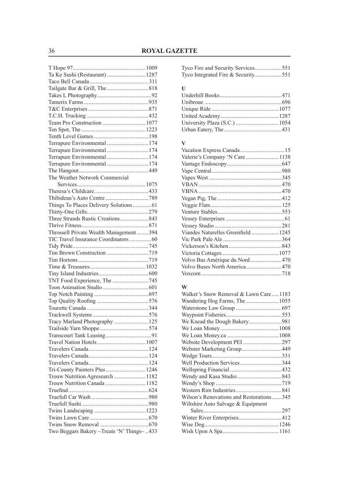| Ta Ke Sushi (Restaurant)  1287            |  |
|-------------------------------------------|--|
|                                           |  |
|                                           |  |
|                                           |  |
|                                           |  |
|                                           |  |
|                                           |  |
| Team Pro Construction  1077               |  |
|                                           |  |
|                                           |  |
| Terrapure Environmental  174              |  |
| Terrapure Environmental  174              |  |
| Terrapure Environmental  174              |  |
| Terrapure Environmental  174              |  |
|                                           |  |
| The Weather Network Commercial            |  |
|                                           |  |
|                                           |  |
|                                           |  |
| Things To Places Delivery Solutions 61    |  |
|                                           |  |
| Three Strands Rustic Creations 843        |  |
|                                           |  |
| Throssell Private Wealth Management 394   |  |
| TIC Travel Insurance Coordinators 60      |  |
|                                           |  |
|                                           |  |
|                                           |  |
|                                           |  |
|                                           |  |
|                                           |  |
| TNT Food Experience, The 745              |  |
|                                           |  |
|                                           |  |
|                                           |  |
|                                           |  |
|                                           |  |
| Tracy Marland Photography  125            |  |
|                                           |  |
|                                           |  |
|                                           |  |
|                                           |  |
|                                           |  |
|                                           |  |
| Tri-County Painters Plus 1246             |  |
| Trouw Nutrition Agresearch  1182          |  |
| Trouw Nutrition Canada  1182              |  |
|                                           |  |
|                                           |  |
|                                           |  |
|                                           |  |
|                                           |  |
|                                           |  |
| Two Beggars Bakery ~Treats 'N' Things~433 |  |

|  | Tyco Integrated Fire & Security551 |  |
|--|------------------------------------|--|

| - U |  |
|-----|--|
|     |  |
|     |  |
|     |  |
|     |  |
|     |  |
|     |  |
|     |  |

### **V**

| Valerie's Company 'N Care  1138     |  |
|-------------------------------------|--|
|                                     |  |
|                                     |  |
|                                     |  |
|                                     |  |
|                                     |  |
|                                     |  |
|                                     |  |
|                                     |  |
|                                     |  |
|                                     |  |
| Viandes Naturelles Greenfield  1245 |  |
|                                     |  |
|                                     |  |
|                                     |  |
| Volvo Bus Amérique du Nord470       |  |
| Volvo Buses North America470        |  |
|                                     |  |
|                                     |  |

### **W**

| Walker's Snow Removal & Lawn Care 1183   |  |
|------------------------------------------|--|
|                                          |  |
|                                          |  |
|                                          |  |
|                                          |  |
|                                          |  |
|                                          |  |
| Website Development PEI 297              |  |
|                                          |  |
|                                          |  |
| Well Production Services344              |  |
|                                          |  |
|                                          |  |
|                                          |  |
|                                          |  |
| Wilson's Renovations and Restorations345 |  |
| Wiltshire Auto Salvage & Equipment       |  |
|                                          |  |
|                                          |  |
|                                          |  |
|                                          |  |
|                                          |  |